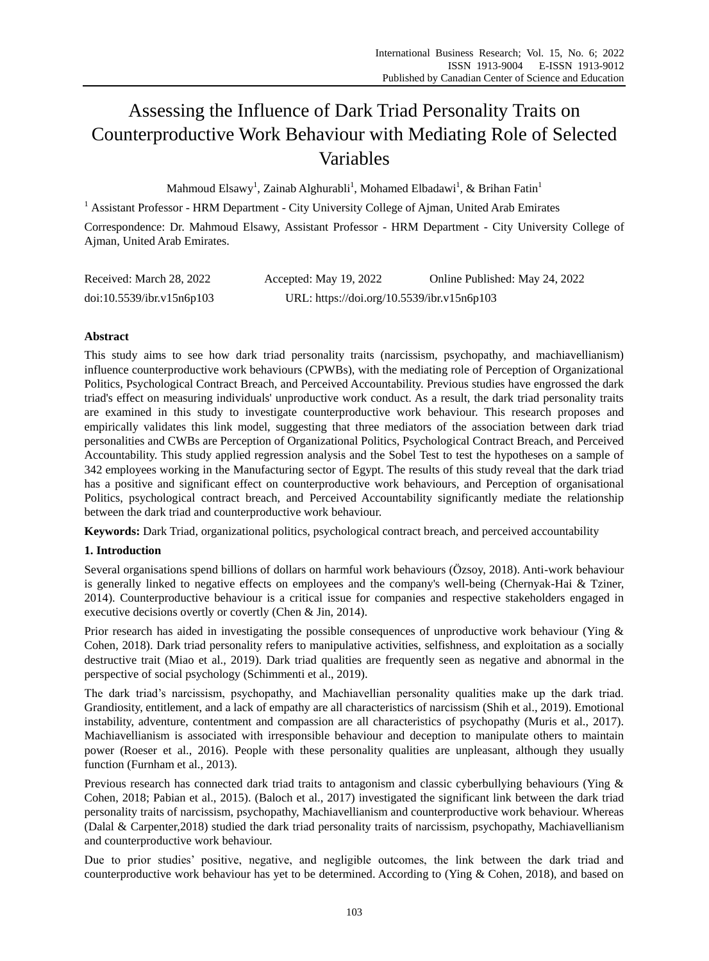# Assessing the Influence of Dark Triad Personality Traits on Counterproductive Work Behaviour with Mediating Role of Selected Variables

Mahmoud Elsawy<sup>1</sup>, Zainab Alghurabli<sup>1</sup>, Mohamed Elbadawi<sup>1</sup>, & Brihan Fatin<sup>1</sup>

<sup>1</sup> Assistant Professor - HRM Department - City University College of Ajman, United Arab Emirates Correspondence: Dr. Mahmoud Elsawy, Assistant Professor - HRM Department - City University College of Ajman, United Arab Emirates.

| Received: March 28, 2022  | Accepted: May 19, 2022                     | Online Published: May 24, 2022 |
|---------------------------|--------------------------------------------|--------------------------------|
| doi:10.5539/ibr.v15n6p103 | URL: https://doi.org/10.5539/ibr.v15n6p103 |                                |

# **Abstract**

This study aims to see how dark triad personality traits (narcissism, psychopathy, and machiavellianism) influence counterproductive work behaviours (CPWBs), with the mediating role of Perception of Organizational Politics, Psychological Contract Breach, and Perceived Accountability. Previous studies have engrossed the dark triad's effect on measuring individuals' unproductive work conduct. As a result, the dark triad personality traits are examined in this study to investigate counterproductive work behaviour. This research proposes and empirically validates this link model, suggesting that three mediators of the association between dark triad personalities and CWBs are Perception of Organizational Politics, Psychological Contract Breach, and Perceived Accountability. This study applied regression analysis and the Sobel Test to test the hypotheses on a sample of 342 employees working in the Manufacturing sector of Egypt. The results of this study reveal that the dark triad has a positive and significant effect on counterproductive work behaviours, and Perception of organisational Politics, psychological contract breach, and Perceived Accountability significantly mediate the relationship between the dark triad and counterproductive work behaviour.

**Keywords:** Dark Triad, organizational politics, psychological contract breach, and perceived accountability

# **1. Introduction**

Several organisations spend billions of dollars on harmful work behaviours (Özsoy, 2018). Anti-work behaviour is generally linked to negative effects on employees and the company's well-being (Chernyak-Hai & Tziner, 2014). Counterproductive behaviour is a critical issue for companies and respective stakeholders engaged in executive decisions overtly or covertly (Chen & Jin, 2014).

Prior research has aided in investigating the possible consequences of unproductive work behaviour (Ying & Cohen, 2018). Dark triad personality refers to manipulative activities, selfishness, and exploitation as a socially destructive trait (Miao et al., 2019). Dark triad qualities are frequently seen as negative and abnormal in the perspective of social psychology (Schimmenti et al., 2019).

The dark triad's narcissism, psychopathy, and Machiavellian personality qualities make up the dark triad. Grandiosity, entitlement, and a lack of empathy are all characteristics of narcissism (Shih et al., 2019). Emotional instability, adventure, contentment and compassion are all characteristics of psychopathy (Muris et al., 2017). Machiavellianism is associated with irresponsible behaviour and deception to manipulate others to maintain power (Roeser et al., 2016). People with these personality qualities are unpleasant, although they usually function (Furnham et al., 2013).

Previous research has connected dark triad traits to antagonism and classic cyberbullying behaviours (Ying & Cohen, 2018; Pabian et al., 2015). (Baloch et al., 2017) investigated the significant link between the dark triad personality traits of narcissism, psychopathy, Machiavellianism and counterproductive work behaviour. Whereas (Dalal & Carpenter,2018) studied the dark triad personality traits of narcissism, psychopathy, Machiavellianism and counterproductive work behaviour.

Due to prior studies" positive, negative, and negligible outcomes, the link between the dark triad and counterproductive work behaviour has yet to be determined. According to (Ying & Cohen, 2018), and based on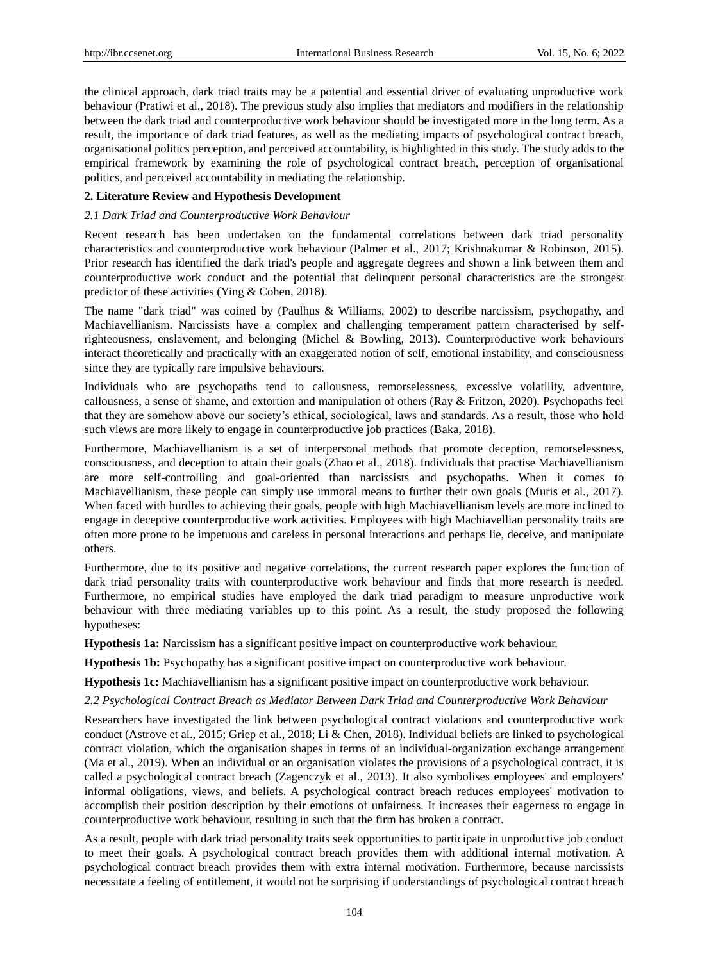the clinical approach, dark triad traits may be a potential and essential driver of evaluating unproductive work behaviour (Pratiwi et al., 2018). The previous study also implies that mediators and modifiers in the relationship between the dark triad and counterproductive work behaviour should be investigated more in the long term. As a result, the importance of dark triad features, as well as the mediating impacts of psychological contract breach, organisational politics perception, and perceived accountability, is highlighted in this study. The study adds to the empirical framework by examining the role of psychological contract breach, perception of organisational politics, and perceived accountability in mediating the relationship.

#### **2. Literature Review and Hypothesis Development**

#### *2.1 Dark Triad and Counterproductive Work Behaviour*

Recent research has been undertaken on the fundamental correlations between dark triad personality characteristics and counterproductive work behaviour (Palmer et al., 2017; Krishnakumar & Robinson, 2015). Prior research has identified the dark triad's people and aggregate degrees and shown a link between them and counterproductive work conduct and the potential that delinquent personal characteristics are the strongest predictor of these activities (Ying & Cohen, 2018).

The name "dark triad" was coined by (Paulhus & Williams, 2002) to describe narcissism, psychopathy, and Machiavellianism. Narcissists have a complex and challenging temperament pattern characterised by selfrighteousness, enslavement, and belonging (Michel & Bowling, 2013). Counterproductive work behaviours interact theoretically and practically with an exaggerated notion of self, emotional instability, and consciousness since they are typically rare impulsive behaviours.

Individuals who are psychopaths tend to callousness, remorselessness, excessive volatility, adventure, callousness, a sense of shame, and extortion and manipulation of others (Ray & Fritzon, 2020). Psychopaths feel that they are somehow above our society"s ethical, sociological, laws and standards. As a result, those who hold such views are more likely to engage in counterproductive job practices (Baka, 2018).

Furthermore, Machiavellianism is a set of interpersonal methods that promote deception, remorselessness, consciousness, and deception to attain their goals (Zhao et al., 2018). Individuals that practise Machiavellianism are more self-controlling and goal-oriented than narcissists and psychopaths. When it comes to Machiavellianism, these people can simply use immoral means to further their own goals (Muris et al., 2017). When faced with hurdles to achieving their goals, people with high Machiavellianism levels are more inclined to engage in deceptive counterproductive work activities. Employees with high Machiavellian personality traits are often more prone to be impetuous and careless in personal interactions and perhaps lie, deceive, and manipulate others.

Furthermore, due to its positive and negative correlations, the current research paper explores the function of dark triad personality traits with counterproductive work behaviour and finds that more research is needed. Furthermore, no empirical studies have employed the dark triad paradigm to measure unproductive work behaviour with three mediating variables up to this point. As a result, the study proposed the following hypotheses:

**Hypothesis 1a:** Narcissism has a significant positive impact on counterproductive work behaviour.

**Hypothesis 1b:** Psychopathy has a significant positive impact on counterproductive work behaviour.

**Hypothesis 1c:** Machiavellianism has a significant positive impact on counterproductive work behaviour.

*2.2 Psychological Contract Breach as Mediator Between Dark Triad and Counterproductive Work Behaviour*

Researchers have investigated the link between psychological contract violations and counterproductive work conduct (Astrove et al., 2015; Griep et al., 2018; Li & Chen, 2018). Individual beliefs are linked to psychological contract violation, which the organisation shapes in terms of an individual-organization exchange arrangement (Ma et al., 2019). When an individual or an organisation violates the provisions of a psychological contract, it is called a psychological contract breach (Zagenczyk et al., 2013). It also symbolises employees' and employers' informal obligations, views, and beliefs. A psychological contract breach reduces employees' motivation to accomplish their position description by their emotions of unfairness. It increases their eagerness to engage in counterproductive work behaviour, resulting in such that the firm has broken a contract.

As a result, people with dark triad personality traits seek opportunities to participate in unproductive job conduct to meet their goals. A psychological contract breach provides them with additional internal motivation. A psychological contract breach provides them with extra internal motivation. Furthermore, because narcissists necessitate a feeling of entitlement, it would not be surprising if understandings of psychological contract breach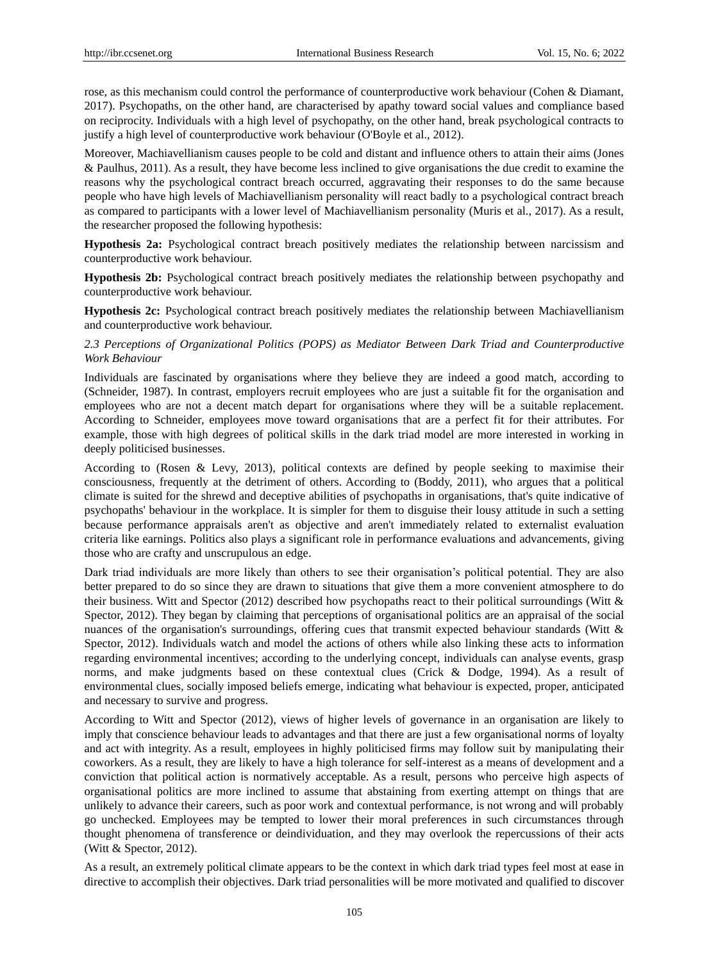rose, as this mechanism could control the performance of counterproductive work behaviour (Cohen & Diamant, 2017). Psychopaths, on the other hand, are characterised by apathy toward social values and compliance based on reciprocity. Individuals with a high level of psychopathy, on the other hand, break psychological contracts to justify a high level of counterproductive work behaviour (O'Boyle et al., 2012).

Moreover, Machiavellianism causes people to be cold and distant and influence others to attain their aims (Jones & Paulhus, 2011). As a result, they have become less inclined to give organisations the due credit to examine the reasons why the psychological contract breach occurred, aggravating their responses to do the same because people who have high levels of Machiavellianism personality will react badly to a psychological contract breach as compared to participants with a lower level of Machiavellianism personality (Muris et al., 2017). As a result, the researcher proposed the following hypothesis:

**Hypothesis 2a:** Psychological contract breach positively mediates the relationship between narcissism and counterproductive work behaviour.

**Hypothesis 2b:** Psychological contract breach positively mediates the relationship between psychopathy and counterproductive work behaviour.

**Hypothesis 2c:** Psychological contract breach positively mediates the relationship between Machiavellianism and counterproductive work behaviour.

# *2.3 Perceptions of Organizational Politics (POPS) as Mediator Between Dark Triad and Counterproductive Work Behaviour*

Individuals are fascinated by organisations where they believe they are indeed a good match, according to (Schneider, 1987). In contrast, employers recruit employees who are just a suitable fit for the organisation and employees who are not a decent match depart for organisations where they will be a suitable replacement. According to Schneider, employees move toward organisations that are a perfect fit for their attributes. For example, those with high degrees of political skills in the dark triad model are more interested in working in deeply politicised businesses.

According to (Rosen & Levy, 2013), political contexts are defined by people seeking to maximise their consciousness, frequently at the detriment of others. According to (Boddy, 2011), who argues that a political climate is suited for the shrewd and deceptive abilities of psychopaths in organisations, that's quite indicative of psychopaths' behaviour in the workplace. It is simpler for them to disguise their lousy attitude in such a setting because performance appraisals aren't as objective and aren't immediately related to externalist evaluation criteria like earnings. Politics also plays a significant role in performance evaluations and advancements, giving those who are crafty and unscrupulous an edge.

Dark triad individuals are more likely than others to see their organisation"s political potential. They are also better prepared to do so since they are drawn to situations that give them a more convenient atmosphere to do their business. Witt and Spector (2012) described how psychopaths react to their political surroundings (Witt & Spector, 2012). They began by claiming that perceptions of organisational politics are an appraisal of the social nuances of the organisation's surroundings, offering cues that transmit expected behaviour standards (Witt & Spector, 2012). Individuals watch and model the actions of others while also linking these acts to information regarding environmental incentives; according to the underlying concept, individuals can analyse events, grasp norms, and make judgments based on these contextual clues (Crick & Dodge, 1994). As a result of environmental clues, socially imposed beliefs emerge, indicating what behaviour is expected, proper, anticipated and necessary to survive and progress.

According to Witt and Spector (2012), views of higher levels of governance in an organisation are likely to imply that conscience behaviour leads to advantages and that there are just a few organisational norms of loyalty and act with integrity. As a result, employees in highly politicised firms may follow suit by manipulating their coworkers. As a result, they are likely to have a high tolerance for self-interest as a means of development and a conviction that political action is normatively acceptable. As a result, persons who perceive high aspects of organisational politics are more inclined to assume that abstaining from exerting attempt on things that are unlikely to advance their careers, such as poor work and contextual performance, is not wrong and will probably go unchecked. Employees may be tempted to lower their moral preferences in such circumstances through thought phenomena of transference or deindividuation, and they may overlook the repercussions of their acts (Witt & Spector, 2012).

As a result, an extremely political climate appears to be the context in which dark triad types feel most at ease in directive to accomplish their objectives. Dark triad personalities will be more motivated and qualified to discover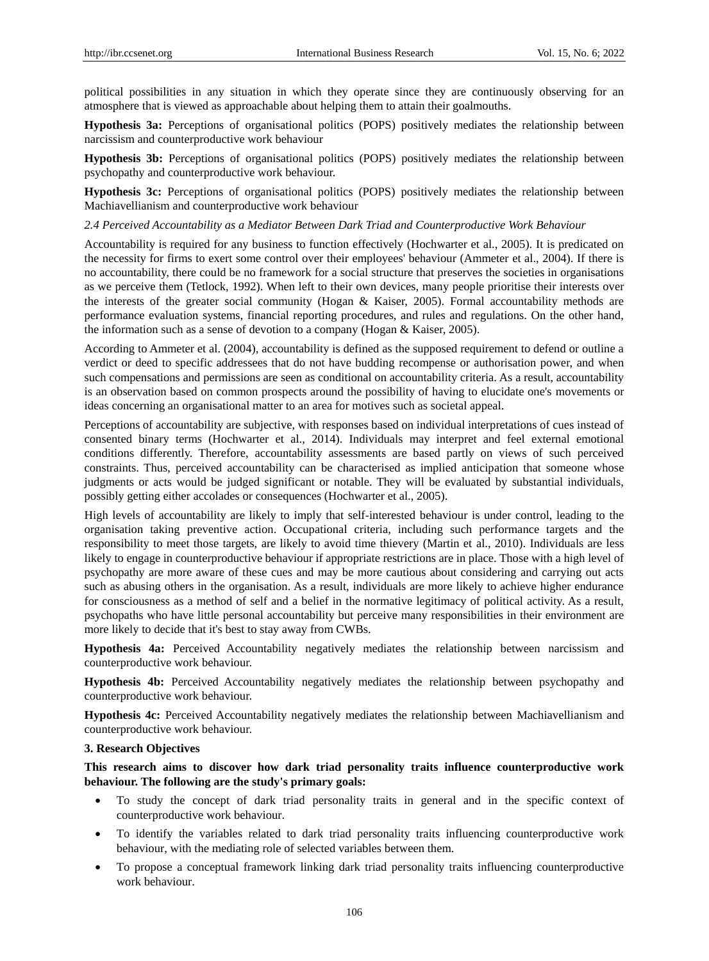political possibilities in any situation in which they operate since they are continuously observing for an atmosphere that is viewed as approachable about helping them to attain their goalmouths.

**Hypothesis 3a:** Perceptions of organisational politics (POPS) positively mediates the relationship between narcissism and counterproductive work behaviour

**Hypothesis 3b:** Perceptions of organisational politics (POPS) positively mediates the relationship between psychopathy and counterproductive work behaviour.

**Hypothesis 3c:** Perceptions of organisational politics (POPS) positively mediates the relationship between Machiavellianism and counterproductive work behaviour

#### *2.4 Perceived Accountability as a Mediator Between Dark Triad and Counterproductive Work Behaviour*

Accountability is required for any business to function effectively (Hochwarter et al., 2005). It is predicated on the necessity for firms to exert some control over their employees' behaviour (Ammeter et al., 2004). If there is no accountability, there could be no framework for a social structure that preserves the societies in organisations as we perceive them (Tetlock, 1992). When left to their own devices, many people prioritise their interests over the interests of the greater social community (Hogan & Kaiser, 2005). Formal accountability methods are performance evaluation systems, financial reporting procedures, and rules and regulations. On the other hand, the information such as a sense of devotion to a company (Hogan & Kaiser, 2005).

According to Ammeter et al. (2004), accountability is defined as the supposed requirement to defend or outline a verdict or deed to specific addressees that do not have budding recompense or authorisation power, and when such compensations and permissions are seen as conditional on accountability criteria. As a result, accountability is an observation based on common prospects around the possibility of having to elucidate one's movements or ideas concerning an organisational matter to an area for motives such as societal appeal.

Perceptions of accountability are subjective, with responses based on individual interpretations of cues instead of consented binary terms (Hochwarter et al., 2014). Individuals may interpret and feel external emotional conditions differently. Therefore, accountability assessments are based partly on views of such perceived constraints. Thus, perceived accountability can be characterised as implied anticipation that someone whose judgments or acts would be judged significant or notable. They will be evaluated by substantial individuals, possibly getting either accolades or consequences (Hochwarter et al., 2005).

High levels of accountability are likely to imply that self-interested behaviour is under control, leading to the organisation taking preventive action. Occupational criteria, including such performance targets and the responsibility to meet those targets, are likely to avoid time thievery (Martin et al., 2010). Individuals are less likely to engage in counterproductive behaviour if appropriate restrictions are in place. Those with a high level of psychopathy are more aware of these cues and may be more cautious about considering and carrying out acts such as abusing others in the organisation. As a result, individuals are more likely to achieve higher endurance for consciousness as a method of self and a belief in the normative legitimacy of political activity. As a result, psychopaths who have little personal accountability but perceive many responsibilities in their environment are more likely to decide that it's best to stay away from CWBs.

**Hypothesis 4a:** Perceived Accountability negatively mediates the relationship between narcissism and counterproductive work behaviour.

**Hypothesis 4b:** Perceived Accountability negatively mediates the relationship between psychopathy and counterproductive work behaviour.

**Hypothesis 4c:** Perceived Accountability negatively mediates the relationship between Machiavellianism and counterproductive work behaviour.

### **3. Research Objectives**

**This research aims to discover how dark triad personality traits influence counterproductive work behaviour. The following are the study's primary goals:**

- To study the concept of dark triad personality traits in general and in the specific context of counterproductive work behaviour.
- To identify the variables related to dark triad personality traits influencing counterproductive work behaviour, with the mediating role of selected variables between them.
- To propose a conceptual framework linking dark triad personality traits influencing counterproductive work behaviour.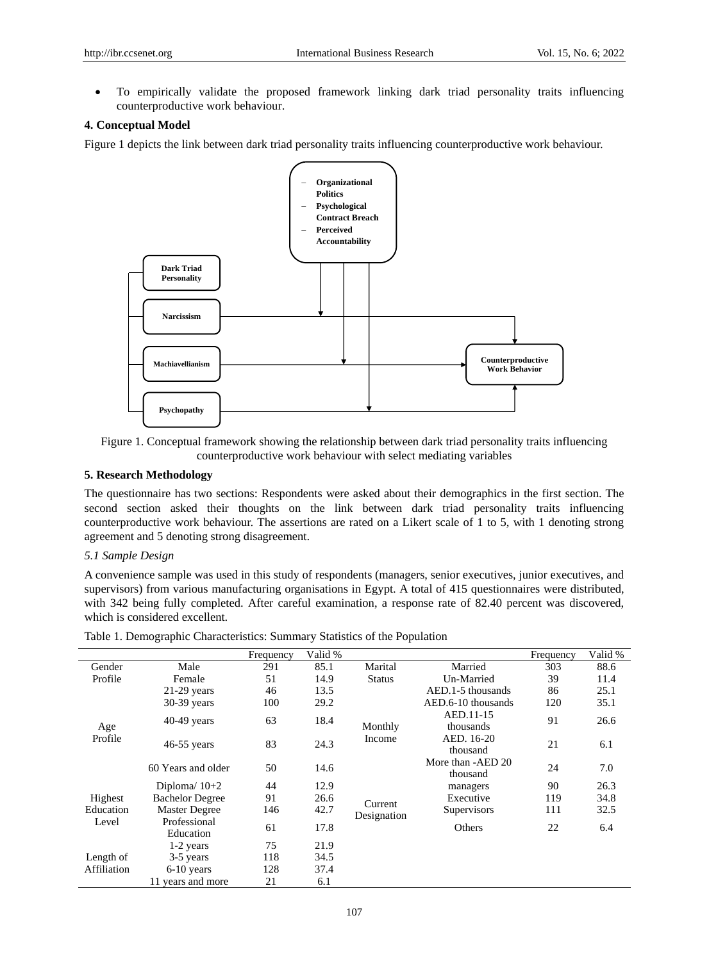To empirically validate the proposed framework linking dark triad personality traits influencing counterproductive work behaviour.

## **4. Conceptual Model**

Figure 1 depicts the link between dark triad personality traits influencing counterproductive work behaviour.



Figure 1. Conceptual framework showing the relationship between dark triad personality traits influencing counterproductive work behaviour with select mediating variables

## **5. Research Methodology**

The questionnaire has two sections: Respondents were asked about their demographics in the first section. The second section asked their thoughts on the link between dark triad personality traits influencing counterproductive work behaviour. The assertions are rated on a Likert scale of 1 to 5, with 1 denoting strong agreement and 5 denoting strong disagreement.

## *5.1 Sample Design*

A convenience sample was used in this study of respondents (managers, senior executives, junior executives, and supervisors) from various manufacturing organisations in Egypt. A total of 415 questionnaires were distributed, with 342 being fully completed. After careful examination, a response rate of 82.40 percent was discovered, which is considered excellent.

|             |                           | Frequency | Valid % |               |                               | Frequency | Valid % |
|-------------|---------------------------|-----------|---------|---------------|-------------------------------|-----------|---------|
| Gender      | Male                      | 291       | 85.1    | Marital       | Married                       | 303       | 88.6    |
| Profile     | Female                    | 51        | 14.9    | <b>Status</b> | Un-Married                    | 39        | 11.4    |
|             | $21-29$ years             | 46        | 13.5    |               | AED.1-5 thousands             | 86        | 25.1    |
|             | $30-39$ years             | 100       | 29.2    |               | AED.6-10 thousands            | 120       | 35.1    |
| Age         | $40-49$ years             | 63        | 18.4    | Monthly       | AED.11-15<br>thousands        | 91        | 26.6    |
| Profile     | $46-55$ years             | 83        | 24.3    | Income        | AED. 16-20<br>thousand        | 21        | 6.1     |
|             | 60 Years and older        | 50        | 14.6    |               | More than -AED 20<br>thousand | 24        | 7.0     |
|             | Diploma $/10+2$           | 44        | 12.9    |               | managers                      | 90        | 26.3    |
| Highest     | <b>Bachelor Degree</b>    | 91        | 26.6    | Current       | Executive                     | 119       | 34.8    |
| Education   | <b>Master Degree</b>      | 146       | 42.7    | Designation   | Supervisors                   | 111       | 32.5    |
| Level       | Professional<br>Education | 61        | 17.8    |               | Others                        | 22        | 6.4     |
|             | 1-2 years                 | 75        | 21.9    |               |                               |           |         |
| Length of   | 3-5 years                 | 118       | 34.5    |               |                               |           |         |
| Affiliation | $6-10$ years              | 128       | 37.4    |               |                               |           |         |
|             | 11 years and more         | 21        | 6.1     |               |                               |           |         |
|             |                           |           |         |               |                               |           |         |

Table 1. Demographic Characteristics: Summary Statistics of the Population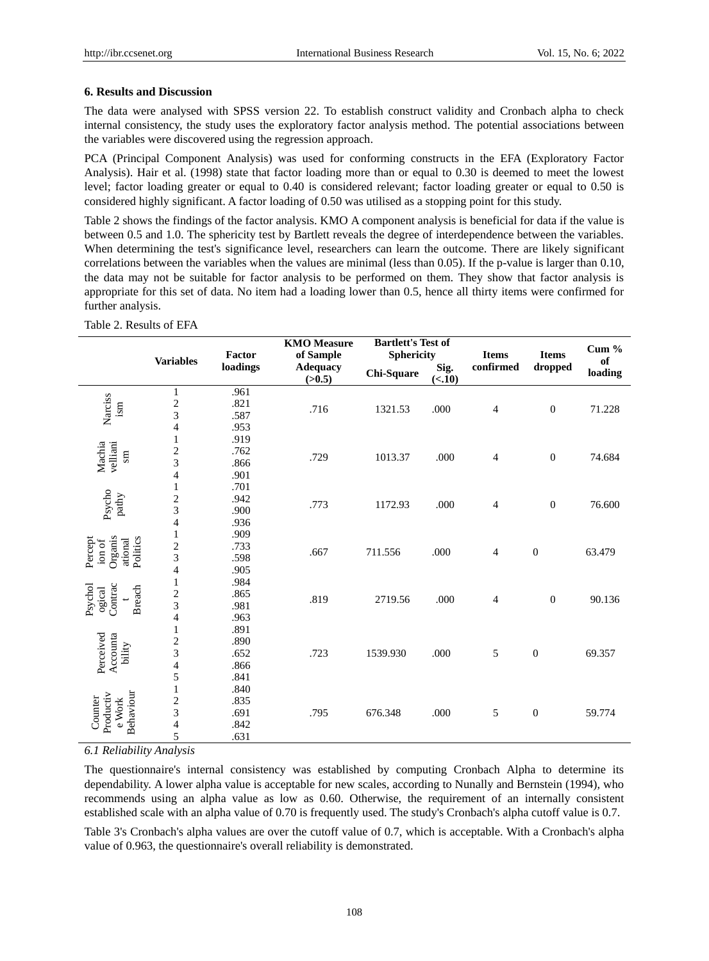### **6. Results and Discussion**

The data were analysed with SPSS version 22. To establish construct validity and Cronbach alpha to check internal consistency, the study uses the exploratory factor analysis method. The potential associations between the variables were discovered using the regression approach.

PCA (Principal Component Analysis) was used for conforming constructs in the EFA (Exploratory Factor Analysis). Hair et al. (1998) state that factor loading more than or equal to 0.30 is deemed to meet the lowest level; factor loading greater or equal to 0.40 is considered relevant; factor loading greater or equal to 0.50 is considered highly significant. A factor loading of 0.50 was utilised as a stopping point for this study.

Table 2 shows the findings of the factor analysis. KMO A component analysis is beneficial for data if the value is between 0.5 and 1.0. The sphericity test by Bartlett reveals the degree of interdependence between the variables. When determining the test's significance level, researchers can learn the outcome. There are likely significant correlations between the variables when the values are minimal (less than 0.05). If the p-value is larger than 0.10, the data may not be suitable for factor analysis to be performed on them. They show that factor analysis is appropriate for this set of data. No item had a loading lower than 0.5, hence all thirty items were confirmed for further analysis.

|                                                     |                          | Factor   | <b>KMO</b> Measure<br>of Sample | <b>Bartlett's Test of</b><br><b>Sphericity</b> |                | <b>Items</b>   | <b>Items</b>     | Cum $%$       |
|-----------------------------------------------------|--------------------------|----------|---------------------------------|------------------------------------------------|----------------|----------------|------------------|---------------|
|                                                     | <b>Variables</b>         | loadings | <b>Adequacy</b><br>(>0.5)       | Chi-Square                                     | Sig.<br>(<.10) | confirmed      | $\bold{dropped}$ | of<br>loading |
|                                                     | $\mathbf{1}$             | .961     |                                 |                                                |                |                |                  |               |
| Narciss<br>ism                                      | $\overline{\mathbf{c}}$  | .821     | .716                            | 1321.53                                        | .000           | $\overline{4}$ | $\boldsymbol{0}$ | 71.228        |
|                                                     | 3                        | .587     |                                 |                                                |                |                |                  |               |
|                                                     | 4                        | .953     |                                 |                                                |                |                |                  |               |
|                                                     | 1                        | .919     |                                 |                                                |                |                |                  |               |
| Machia<br>velliani<br>$\sin$                        | $\overline{c}$           | .762     | .729                            | 1013.37                                        | .000           | $\overline{4}$ | $\boldsymbol{0}$ | 74.684        |
|                                                     | 3                        | .866     |                                 |                                                |                |                |                  |               |
|                                                     | $\overline{4}$           | .901     |                                 |                                                |                |                |                  |               |
|                                                     | $\mathbf{1}$             | .701     |                                 |                                                |                |                |                  |               |
|                                                     | $\overline{\mathbf{c}}$  | .942     | .773                            | 1172.93                                        | .000           | $\overline{4}$ | $\boldsymbol{0}$ | 76.600        |
| Psycho<br>pathy                                     | 3                        | .900     |                                 |                                                |                |                |                  |               |
|                                                     | 4                        | .936     |                                 |                                                |                |                |                  |               |
| Organis<br>Politics<br>Percept<br>ational<br>ion of | $\mathbf{1}$             | .909     |                                 |                                                |                |                |                  |               |
|                                                     | $\overline{c}$           | .733     | .667                            | 711.556                                        | .000           | $\overline{4}$ | $\boldsymbol{0}$ | 63.479        |
|                                                     | 3                        | .598     |                                 |                                                |                |                |                  |               |
|                                                     | 4                        | .905     |                                 |                                                |                |                |                  |               |
|                                                     | $\mathbf{1}$             | .984     |                                 |                                                | .000           |                |                  |               |
| Contrac<br>Psychol<br><b>Breach</b><br>ogical       | $\overline{\mathbf{c}}$  | .865     | .819                            | 2719.56                                        |                | $\overline{4}$ | $\overline{0}$   | 90.136        |
|                                                     | 3                        | .981     |                                 |                                                |                |                |                  |               |
|                                                     | 4                        | .963     |                                 |                                                |                |                |                  |               |
|                                                     | 1                        | .891     |                                 |                                                |                |                |                  |               |
|                                                     | $\frac{2}{3}$            | .890     |                                 |                                                |                |                |                  |               |
| bility                                              |                          | .652     | .723                            | 1539.930                                       | .000           | 5              | $\boldsymbol{0}$ | 69.357        |
| Perceived<br>Accounta                               | $\overline{\mathcal{L}}$ | .866     |                                 |                                                |                |                |                  |               |
|                                                     | 5                        | .841     |                                 |                                                |                |                |                  |               |
|                                                     | 1                        | .840     |                                 |                                                |                |                |                  |               |
|                                                     | $\overline{\mathbf{c}}$  | .835     |                                 |                                                |                |                |                  |               |
| Behaviour<br>Productiv<br>Counter<br>$e$ Work       | 3                        | .691     | .795                            | 676.348                                        | .000           | 5              | $\boldsymbol{0}$ | 59.774        |
|                                                     | $\overline{\mathcal{L}}$ | .842     |                                 |                                                |                |                |                  |               |
|                                                     | 5                        | .631     |                                 |                                                |                |                |                  |               |

Table 2. Results of EFA

*6.1 Reliability Analysis*

The questionnaire's internal consistency was established by computing Cronbach Alpha to determine its dependability. A lower alpha value is acceptable for new scales, according to Nunally and Bernstein (1994), who recommends using an alpha value as low as 0.60. Otherwise, the requirement of an internally consistent established scale with an alpha value of 0.70 is frequently used. The study's Cronbach's alpha cutoff value is 0.7.

Table 3's Cronbach's alpha values are over the cutoff value of 0.7, which is acceptable. With a Cronbach's alpha value of 0.963, the questionnaire's overall reliability is demonstrated.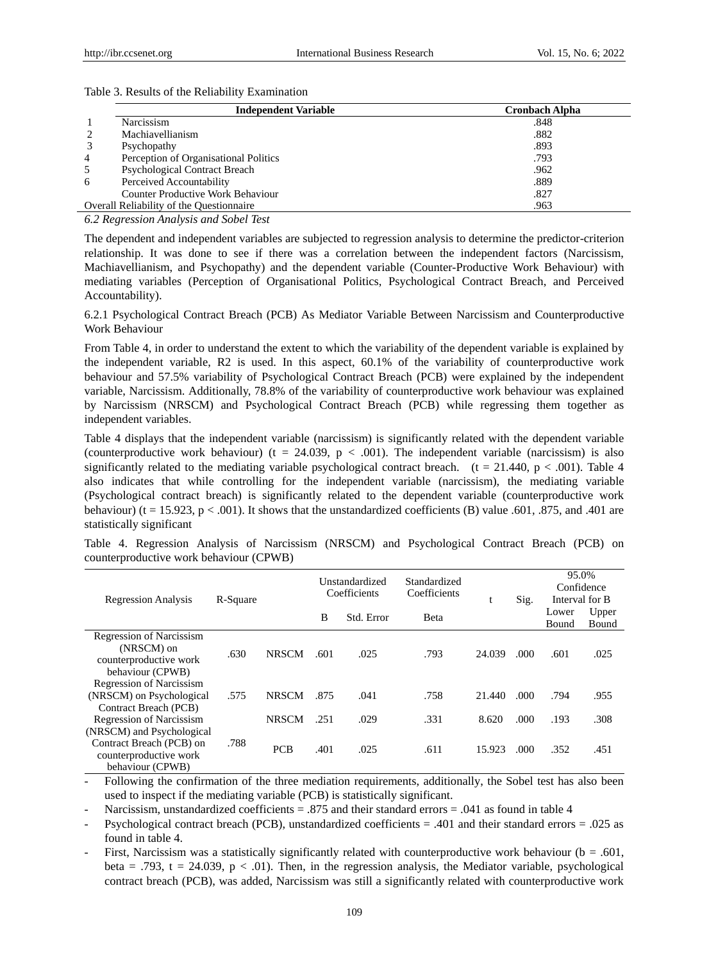## Table 3. Results of the Reliability Examination

|                | <b>Independent Variable</b>              | <b>Cronbach Alpha</b> |
|----------------|------------------------------------------|-----------------------|
|                | Narcissism                               | .848                  |
|                | Machiavellianism                         | .882                  |
|                | Psychopathy                              | .893                  |
| $\overline{4}$ | Perception of Organisational Politics    | .793                  |
| 5              | <b>Psychological Contract Breach</b>     | .962                  |
| 6              | Perceived Accountability                 | .889                  |
|                | <b>Counter Productive Work Behaviour</b> | .827                  |
|                | Overall Reliability of the Questionnaire | .963                  |

*6.2 Regression Analysis and Sobel Test*

The dependent and independent variables are subjected to regression analysis to determine the predictor-criterion relationship. It was done to see if there was a correlation between the independent factors (Narcissism, Machiavellianism, and Psychopathy) and the dependent variable (Counter-Productive Work Behaviour) with mediating variables (Perception of Organisational Politics, Psychological Contract Breach, and Perceived Accountability).

6.2.1 Psychological Contract Breach (PCB) As Mediator Variable Between Narcissism and Counterproductive Work Behaviour

From Table 4, in order to understand the extent to which the variability of the dependent variable is explained by the independent variable, R2 is used. In this aspect, 60.1% of the variability of counterproductive work behaviour and 57.5% variability of Psychological Contract Breach (PCB) were explained by the independent variable, Narcissism. Additionally, 78.8% of the variability of counterproductive work behaviour was explained by Narcissism (NRSCM) and Psychological Contract Breach (PCB) while regressing them together as independent variables.

Table 4 displays that the independent variable (narcissism) is significantly related with the dependent variable (counterproductive work behaviour) (t = 24.039, p < .001). The independent variable (narcissism) is also significantly related to the mediating variable psychological contract breach. (t = 21.440, p < .001). Table 4 also indicates that while controlling for the independent variable (narcissism), the mediating variable (Psychological contract breach) is significantly related to the dependent variable (counterproductive work behaviour) (t = 15.923, p < .001). It shows that the unstandardized coefficients (B) value .601, .875, and .401 are statistically significant

Table 4. Regression Analysis of Narcissism (NRSCM) and Psychological Contract Breach (PCB) on counterproductive work behaviour (CPWB)

| <b>Regression Analysis</b>                                                                  | R-Square |              | Unstandardized<br>Coefficients |            | Standardized<br>Coefficients |        | Sig. | 95.0%<br>Confidence<br>Interval for B |                |
|---------------------------------------------------------------------------------------------|----------|--------------|--------------------------------|------------|------------------------------|--------|------|---------------------------------------|----------------|
|                                                                                             |          |              | B                              | Std. Error | Beta                         |        |      | Lower<br><b>Bound</b>                 | Upper<br>Bound |
| <b>Regression of Narcissism</b><br>(NRSCM) on<br>counterproductive work<br>behaviour (CPWB) | .630     | <b>NRSCM</b> | .601                           | .025       | .793                         | 24.039 | .000 | .601                                  | .025           |
| <b>Regression of Narcissism</b><br>(NRSCM) on Psychological<br>Contract Breach (PCB)        | .575     | <b>NRSCM</b> | .875                           | .041       | .758                         | 21.440 | .000 | .794                                  | .955           |
| <b>Regression of Narcissism</b><br>(NRSCM) and Psychological                                |          | <b>NRSCM</b> | .251                           | .029       | .331                         | 8.620  | .000 | .193                                  | .308           |
| Contract Breach (PCB) on<br>counterproductive work<br>behaviour (CPWB)                      | .788     | <b>PCB</b>   | .401                           | .025       | .611                         | 15.923 | .000 | .352                                  | .451           |

- Following the confirmation of the three mediation requirements, additionally, the Sobel test has also been used to inspect if the mediating variable (PCB) is statistically significant.

Narcissism, unstandardized coefficients = .875 and their standard errors = .041 as found in table 4

Psychological contract breach (PCB), unstandardized coefficients = .401 and their standard errors = .025 as found in table 4.

First, Narcissism was a statistically significantly related with counterproductive work behaviour ( $b = .601$ , beta = .793, t = 24.039,  $p < .01$ ). Then, in the regression analysis, the Mediator variable, psychological contract breach (PCB), was added, Narcissism was still a significantly related with counterproductive work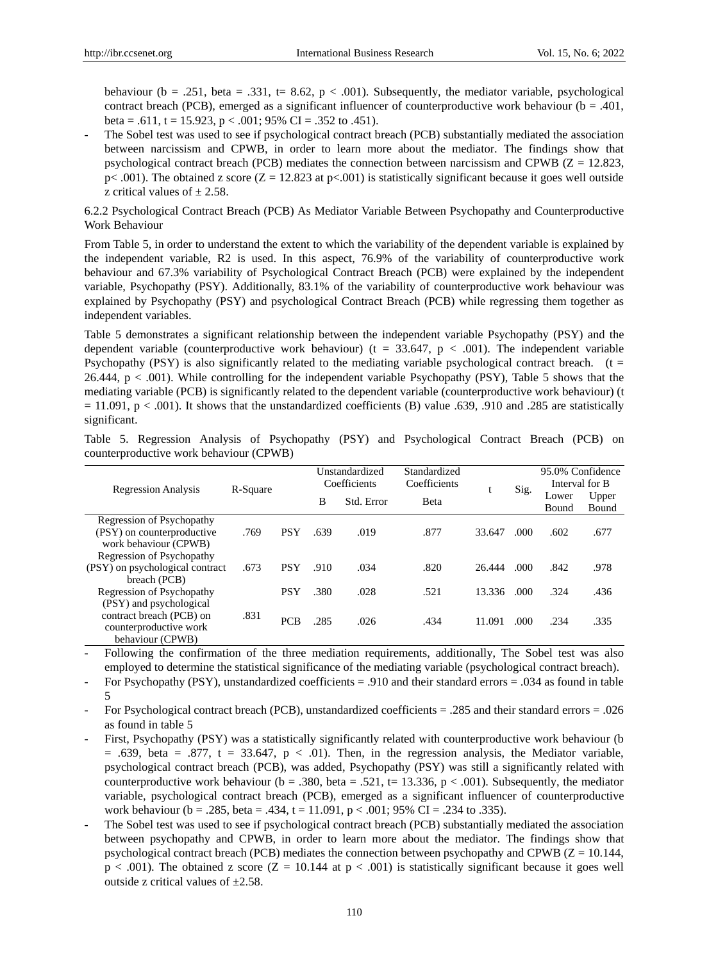behaviour (b = .251, beta = .331, t= 8.62, p < .001). Subsequently, the mediator variable, psychological contract breach (PCB), emerged as a significant influencer of counterproductive work behaviour ( $b = .401$ , beta = .611, t = 15.923, p < .001; 95% CI = .352 to .451).

- The Sobel test was used to see if psychological contract breach (PCB) substantially mediated the association between narcissism and CPWB, in order to learn more about the mediator. The findings show that psychological contract breach (PCB) mediates the connection between narcissism and CPWB ( $Z = 12.823$ ,  $p$ < .001). The obtained z score ( $Z = 12.823$  at  $p$ <.001) is statistically significant because it goes well outside z critical values of  $\pm 2.58$ .

## 6.2.2 Psychological Contract Breach (PCB) As Mediator Variable Between Psychopathy and Counterproductive Work Behaviour

From Table 5, in order to understand the extent to which the variability of the dependent variable is explained by the independent variable, R2 is used. In this aspect, 76.9% of the variability of counterproductive work behaviour and 67.3% variability of Psychological Contract Breach (PCB) were explained by the independent variable, Psychopathy (PSY). Additionally, 83.1% of the variability of counterproductive work behaviour was explained by Psychopathy (PSY) and psychological Contract Breach (PCB) while regressing them together as independent variables.

Table 5 demonstrates a significant relationship between the independent variable Psychopathy (PSY) and the dependent variable (counterproductive work behaviour) ( $t = 33.647$ ,  $p < .001$ ). The independent variable Psychopathy (PSY) is also significantly related to the mediating variable psychological contract breach. ( $t =$ 26.444,  $p < .001$ ). While controlling for the independent variable Psychopathy (PSY), Table 5 shows that the mediating variable (PCB) is significantly related to the dependent variable (counterproductive work behaviour) (t  $= 11.091$ ,  $p < .001$ ). It shows that the unstandardized coefficients (B) value .639, .910 and .285 are statistically significant.

|                                 |          |            |      | Unstandardized | Standardized |        |       | 95.0% Confidence |                |  |
|---------------------------------|----------|------------|------|----------------|--------------|--------|-------|------------------|----------------|--|
| <b>Regression Analysis</b>      | R-Square |            |      | Coefficients   | Coefficients |        | Sig.  |                  | Interval for B |  |
|                                 |          |            | B    | Std. Error     | <b>B</b> eta | υ      |       | Lower            | Upper          |  |
|                                 |          |            |      |                |              |        |       | Bound            | <b>Bound</b>   |  |
| Regression of Psychopathy       |          |            |      |                |              |        |       |                  |                |  |
| (PSY) on counterproductive      | .769     | <b>PSY</b> | .639 | .019           | .877         | 33.647 | .000. | .602             | .677           |  |
| work behaviour (CPWB)           |          |            |      |                |              |        |       |                  |                |  |
| Regression of Psychopathy       |          |            |      |                |              |        |       |                  |                |  |
| (PSY) on psychological contract | .673     | <b>PSY</b> | .910 | .034           | .820         | 26.444 | .000. | .842             | .978           |  |
| breach (PCB)                    |          |            |      |                |              |        |       |                  |                |  |
| Regression of Psychopathy       |          | <b>PSY</b> | .380 | .028           | .521         | 13.336 | .000. | .324             | .436           |  |
| (PSY) and psychological         |          |            |      |                |              |        |       |                  |                |  |
| contract breach (PCB) on        | .831     | <b>PCB</b> |      | .026           |              | 11.091 |       |                  |                |  |
| counterproductive work          |          |            | .285 |                | .434         |        | .000  | .234             | .335           |  |
| behaviour (CPWB)                |          |            |      |                |              |        |       |                  |                |  |

Table 5. Regression Analysis of Psychopathy (PSY) and Psychological Contract Breach (PCB) on counterproductive work behaviour (CPWB)

- Following the confirmation of the three mediation requirements, additionally, The Sobel test was also employed to determine the statistical significance of the mediating variable (psychological contract breach).

- For Psychopathy (PSY), unstandardized coefficients = .910 and their standard errors = .034 as found in table 5

- For Psychological contract breach (PCB), unstandardized coefficients = .285 and their standard errors = .026 as found in table 5

- First, Psychopathy (PSY) was a statistically significantly related with counterproductive work behaviour (b)  $= .639$ , beta  $= .877$ ,  $t = 33.647$ ,  $p < .01$ ). Then, in the regression analysis, the Mediator variable, psychological contract breach (PCB), was added, Psychopathy (PSY) was still a significantly related with counterproductive work behaviour (b = .380, beta = .521, t= 13.336, p < .001). Subsequently, the mediator variable, psychological contract breach (PCB), emerged as a significant influencer of counterproductive work behaviour (b = .285, beta = .434, t = 11.091,  $p < .001$ ; 95% CI = .234 to .335).
- The Sobel test was used to see if psychological contract breach (PCB) substantially mediated the association between psychopathy and CPWB, in order to learn more about the mediator. The findings show that psychological contract breach (PCB) mediates the connection between psychopathy and CPWB ( $Z = 10.144$ ,  $p < .001$ ). The obtained z score (Z = 10.144 at  $p < .001$ ) is statistically significant because it goes well outside z critical values of  $\pm 2.58$ .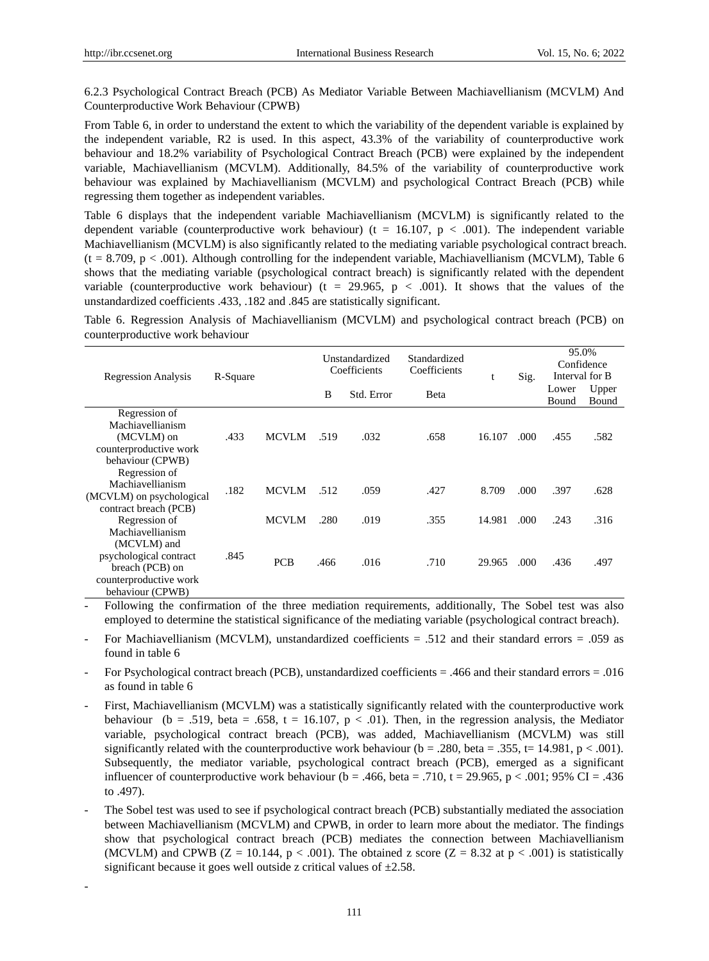-

6.2.3 Psychological Contract Breach (PCB) As Mediator Variable Between Machiavellianism (MCVLM) And Counterproductive Work Behaviour (CPWB)

From Table 6, in order to understand the extent to which the variability of the dependent variable is explained by the independent variable, R2 is used. In this aspect, 43.3% of the variability of counterproductive work behaviour and 18.2% variability of Psychological Contract Breach (PCB) were explained by the independent variable, Machiavellianism (MCVLM). Additionally, 84.5% of the variability of counterproductive work behaviour was explained by Machiavellianism (MCVLM) and psychological Contract Breach (PCB) while regressing them together as independent variables.

Table 6 displays that the independent variable Machiavellianism (MCVLM) is significantly related to the dependent variable (counterproductive work behaviour) ( $t = 16.107$ ,  $p < .001$ ). The independent variable Machiavellianism (MCVLM) is also significantly related to the mediating variable psychological contract breach.  $(t = 8.709, p < .001)$ . Although controlling for the independent variable, Machiavellianism (MCVLM), Table 6 shows that the mediating variable (psychological contract breach) is significantly related with the dependent variable (counterproductive work behaviour) (t = 29.965,  $p < .001$ ). It shows that the values of the unstandardized coefficients .433, .182 and .845 are statistically significant.

Table 6. Regression Analysis of Machiavellianism (MCVLM) and psychological contract breach (PCB) on counterproductive work behaviour

| <b>Regression Analysis</b>                                                                             | R-Square |              |      | Unstandardized<br>Coefficients | Standardized<br>Coefficients | t      | Sig.  | 95.0%<br>Confidence<br>Interval for B |                |
|--------------------------------------------------------------------------------------------------------|----------|--------------|------|--------------------------------|------------------------------|--------|-------|---------------------------------------|----------------|
|                                                                                                        |          |              | B    | Std. Error                     | Beta                         |        |       | Lower<br>Bound                        | Upper<br>Bound |
| Regression of<br>Machiavellianism<br>(MCVLM) on<br>counterproductive work<br>behaviour (CPWB)          | .433     | <b>MCVLM</b> | .519 | .032                           | .658                         | 16.107 | .000. | .455                                  | .582           |
| Regression of<br>Machiavellianism<br>(MCVLM) on psychological<br>contract breach (PCB)                 | .182     | <b>MCVLM</b> | .512 | .059                           | .427                         | 8.709  | .000  | .397                                  | .628           |
| Regression of<br>Machiavellianism                                                                      |          | <b>MCVLM</b> | .280 | .019                           | .355                         | 14.981 | .000. | .243                                  | .316           |
| (MCVLM) and<br>psychological contract<br>breach (PCB) on<br>counterproductive work<br>behaviour (CPWB) | .845     | <b>PCB</b>   | .466 | .016                           | .710                         | 29.965 | .000. | .436                                  | .497           |

- Following the confirmation of the three mediation requirements, additionally, The Sobel test was also employed to determine the statistical significance of the mediating variable (psychological contract breach).

- For Machiavellianism (MCVLM), unstandardized coefficients = .512 and their standard errors = .059 as found in table 6
- For Psychological contract breach (PCB), unstandardized coefficients = .466 and their standard errors = .016 as found in table 6
- First, Machiavellianism (MCVLM) was a statistically significantly related with the counterproductive work behaviour (b = .519, beta = .658, t = 16.107, p < .01). Then, in the regression analysis, the Mediator variable, psychological contract breach (PCB), was added, Machiavellianism (MCVLM) was still significantly related with the counterproductive work behaviour ( $b = .280$ , beta = .355, t= 14.981, p < .001). Subsequently, the mediator variable, psychological contract breach (PCB), emerged as a significant influencer of counterproductive work behaviour ( $b = .466$ , beta = .710, t = 29.965, p < .001; 95% CI = .436 to .497).
- The Sobel test was used to see if psychological contract breach (PCB) substantially mediated the association between Machiavellianism (MCVLM) and CPWB, in order to learn more about the mediator. The findings show that psychological contract breach (PCB) mediates the connection between Machiavellianism (MCVLM) and CPWB ( $Z = 10.144$ ,  $p < .001$ ). The obtained z score ( $Z = 8.32$  at  $p < .001$ ) is statistically significant because it goes well outside z critical values of  $\pm$ 2.58.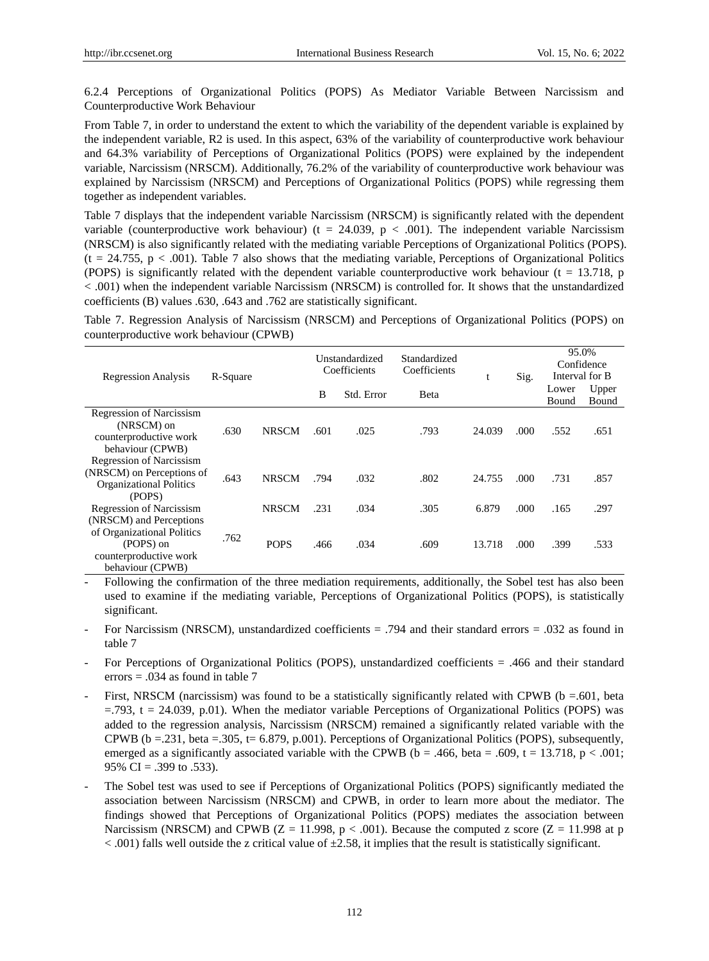6.2.4 Perceptions of Organizational Politics (POPS) As Mediator Variable Between Narcissism and Counterproductive Work Behaviour

From Table 7, in order to understand the extent to which the variability of the dependent variable is explained by the independent variable, R2 is used. In this aspect, 63% of the variability of counterproductive work behaviour and 64.3% variability of Perceptions of Organizational Politics (POPS) were explained by the independent variable, Narcissism (NRSCM). Additionally, 76.2% of the variability of counterproductive work behaviour was explained by Narcissism (NRSCM) and Perceptions of Organizational Politics (POPS) while regressing them together as independent variables.

Table 7 displays that the independent variable Narcissism (NRSCM) is significantly related with the dependent variable (counterproductive work behaviour) ( $t = 24.039$ ,  $p < .001$ ). The independent variable Narcissism (NRSCM) is also significantly related with the mediating variable Perceptions of Organizational Politics (POPS).  $(t = 24.755, p < .001)$ . Table 7 also shows that the mediating variable, Perceptions of Organizational Politics (POPS) is significantly related with the dependent variable counterproductive work behaviour ( $t = 13.718$ , p < .001) when the independent variable Narcissism (NRSCM) is controlled for. It shows that the unstandardized coefficients (B) values .630, .643 and .762 are statistically significant.

Table 7. Regression Analysis of Narcissism (NRSCM) and Perceptions of Organizational Politics (POPS) on counterproductive work behaviour (CPWB)

| <b>Regression Analysis</b>                                                                               | R-Square |              | Unstandardized<br>Coefficients |            | Standardized<br>Coefficients |        | Sig. | 95.0%<br>Confidence<br>Interval for B |                |
|----------------------------------------------------------------------------------------------------------|----------|--------------|--------------------------------|------------|------------------------------|--------|------|---------------------------------------|----------------|
|                                                                                                          |          |              | B                              | Std. Error | Beta                         |        |      | Lower<br>Bound                        | Upper<br>Bound |
| <b>Regression of Narcissism</b><br>(NRSCM) on<br>counterproductive work<br>behaviour (CPWB)              | .630     | <b>NRSCM</b> | .601                           | .025       | .793                         | 24.039 | .000 | .552                                  | .651           |
| <b>Regression of Narcissism</b><br>(NRSCM) on Perceptions of<br><b>Organizational Politics</b><br>(POPS) | .643     | <b>NRSCM</b> | .794                           | .032       | .802                         | 24.755 | .000 | .731                                  | .857           |
| <b>Regression of Narcissism</b><br>(NRSCM) and Perceptions                                               |          | <b>NRSCM</b> | .231                           | .034       | .305                         | 6.879  | .000 | .165                                  | .297           |
| of Organizational Politics<br>(POPS) on<br>counterproductive work<br>behaviour (CPWB)                    | .762     | <b>POPS</b>  | .466                           | .034       | .609                         | 13.718 | .000 | .399                                  | .533           |

- Following the confirmation of the three mediation requirements, additionally, the Sobel test has also been used to examine if the mediating variable, Perceptions of Organizational Politics (POPS), is statistically significant.

- For Narcissism (NRSCM), unstandardized coefficients = .794 and their standard errors = .032 as found in table 7
- For Perceptions of Organizational Politics (POPS), unstandardized coefficients = .466 and their standard errors = .034 as found in table 7
- First, NRSCM (narcissism) was found to be a statistically significantly related with CPWB ( $b = .601$ , beta  $=$ .793, t = 24.039, p.01). When the mediator variable Perceptions of Organizational Politics (POPS) was added to the regression analysis, Narcissism (NRSCM) remained a significantly related variable with the CPWB (b = 231, beta = 305, t= 6.879, p.001). Perceptions of Organizational Politics (POPS), subsequently, emerged as a significantly associated variable with the CPWB ( $b = .466$ , beta = .609, t = 13.718, p < .001; 95% CI = .399 to .533).
- The Sobel test was used to see if Perceptions of Organizational Politics (POPS) significantly mediated the association between Narcissism (NRSCM) and CPWB, in order to learn more about the mediator. The findings showed that Perceptions of Organizational Politics (POPS) mediates the association between Narcissism (NRSCM) and CPWB ( $Z = 11.998$ ,  $p < .001$ ). Because the computed z score ( $Z = 11.998$  at p  $< .001$ ) falls well outside the z critical value of  $\pm 2.58$ , it implies that the result is statistically significant.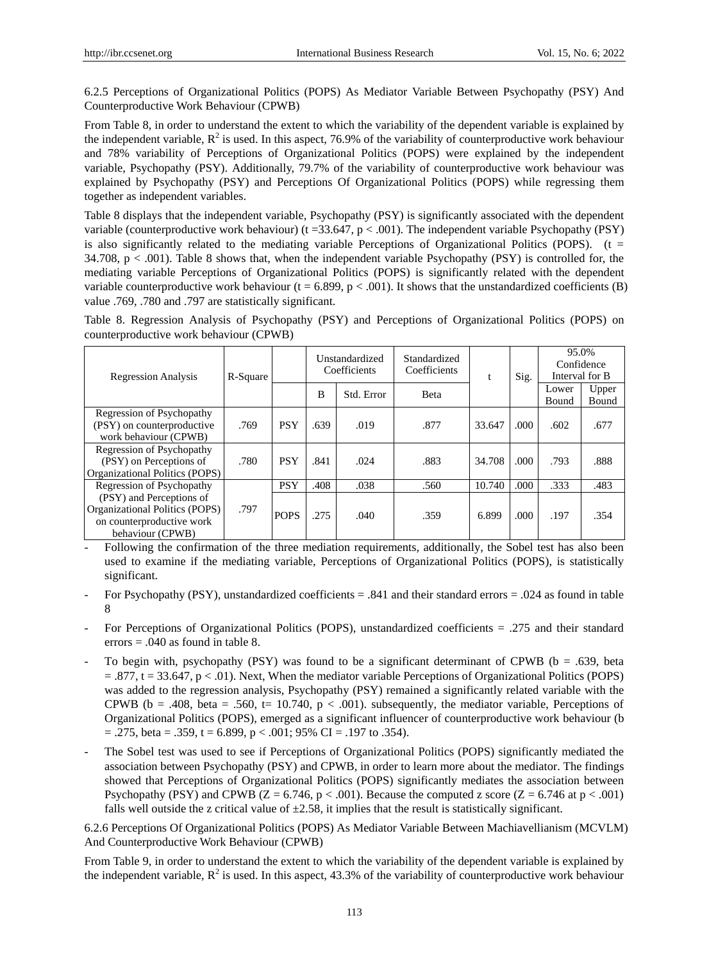6.2.5 Perceptions of Organizational Politics (POPS) As Mediator Variable Between Psychopathy (PSY) And Counterproductive Work Behaviour (CPWB)

From Table 8, in order to understand the extent to which the variability of the dependent variable is explained by the independent variable,  $R^2$  is used. In this aspect, 76.9% of the variability of counterproductive work behaviour and 78% variability of Perceptions of Organizational Politics (POPS) were explained by the independent variable, Psychopathy (PSY). Additionally, 79.7% of the variability of counterproductive work behaviour was explained by Psychopathy (PSY) and Perceptions Of Organizational Politics (POPS) while regressing them together as independent variables.

Table 8 displays that the independent variable, Psychopathy (PSY) is significantly associated with the dependent variable (counterproductive work behaviour) ( $t = 33.647$ ,  $p < .001$ ). The independent variable Psychopathy (PSY) is also significantly related to the mediating variable Perceptions of Organizational Politics (POPS).  $(t =$ 34.708, p < .001). Table 8 shows that, when the independent variable Psychopathy (PSY) is controlled for, the mediating variable Perceptions of Organizational Politics (POPS) is significantly related with the dependent variable counterproductive work behaviour ( $t = 6.899$ ,  $p < .001$ ). It shows that the unstandardized coefficients (B) value .769, .780 and .797 are statistically significant.

Table 8. Regression Analysis of Psychopathy (PSY) and Perceptions of Organizational Politics (POPS) on counterproductive work behaviour (CPWB)

| <b>Regression Analysis</b>                                                                                  | R-Square |             |      | Unstandardized<br>Coefficients | Standardized<br>Coefficients | t      | Sig. | 95.0%<br>Confidence<br>Interval for B |                |
|-------------------------------------------------------------------------------------------------------------|----------|-------------|------|--------------------------------|------------------------------|--------|------|---------------------------------------|----------------|
|                                                                                                             |          |             | B    | Std. Error                     | Beta                         |        |      | Lower<br><b>Bound</b>                 | Upper<br>Bound |
| Regression of Psychopathy<br>(PSY) on counterproductive<br>work behaviour (CPWB)                            | .769     | <b>PSY</b>  | .639 | .019                           | .877                         | 33.647 | .000 | .602                                  | .677           |
| Regression of Psychopathy<br>(PSY) on Perceptions of<br>Organizational Politics (POPS)                      | .780     | <b>PSY</b>  | .841 | .024                           | .883                         | 34.708 | .000 | .793                                  | .888           |
| Regression of Psychopathy                                                                                   |          | <b>PSY</b>  | .408 | .038                           | .560                         | 10.740 | .000 | .333                                  | .483           |
| (PSY) and Perceptions of<br>Organizational Politics (POPS)<br>on counterproductive work<br>behaviour (CPWB) | .797     | <b>POPS</b> | .275 | .040                           | .359                         | 6.899  | .000 | .197                                  | .354           |

- Following the confirmation of the three mediation requirements, additionally, the Sobel test has also been used to examine if the mediating variable, Perceptions of Organizational Politics (POPS), is statistically significant.

- For Psychopathy (PSY), unstandardized coefficients = .841 and their standard errors = .024 as found in table 8
- For Perceptions of Organizational Politics (POPS), unstandardized coefficients = .275 and their standard errors  $= .040$  as found in table 8.
- To begin with, psychopathy (PSY) was found to be a significant determinant of CPWB ( $b = .639$ , beta = .877, t = 33.647, p < .01). Next, When the mediator variable Perceptions of Organizational Politics (POPS) was added to the regression analysis, Psychopathy (PSY) remained a significantly related variable with the CPWB (b = .408, beta = .560, t= 10.740,  $p < .001$ ). subsequently, the mediator variable, Perceptions of Organizational Politics (POPS), emerged as a significant influencer of counterproductive work behaviour (b  $= .275$ , beta  $= .359$ ,  $t = 6.899$ ,  $p < .001$ ; 95% CI  $= .197$  to .354).
- The Sobel test was used to see if Perceptions of Organizational Politics (POPS) significantly mediated the association between Psychopathy (PSY) and CPWB, in order to learn more about the mediator. The findings showed that Perceptions of Organizational Politics (POPS) significantly mediates the association between Psychopathy (PSY) and CPWB ( $Z = 6.746$ ,  $p < .001$ ). Because the computed z score ( $Z = 6.746$  at  $p < .001$ ) falls well outside the z critical value of  $\pm$ 2.58, it implies that the result is statistically significant.

6.2.6 Perceptions Of Organizational Politics (POPS) As Mediator Variable Between Machiavellianism (MCVLM) And Counterproductive Work Behaviour (CPWB)

From Table 9, in order to understand the extent to which the variability of the dependent variable is explained by the independent variable,  $R^2$  is used. In this aspect, 43.3% of the variability of counterproductive work behaviour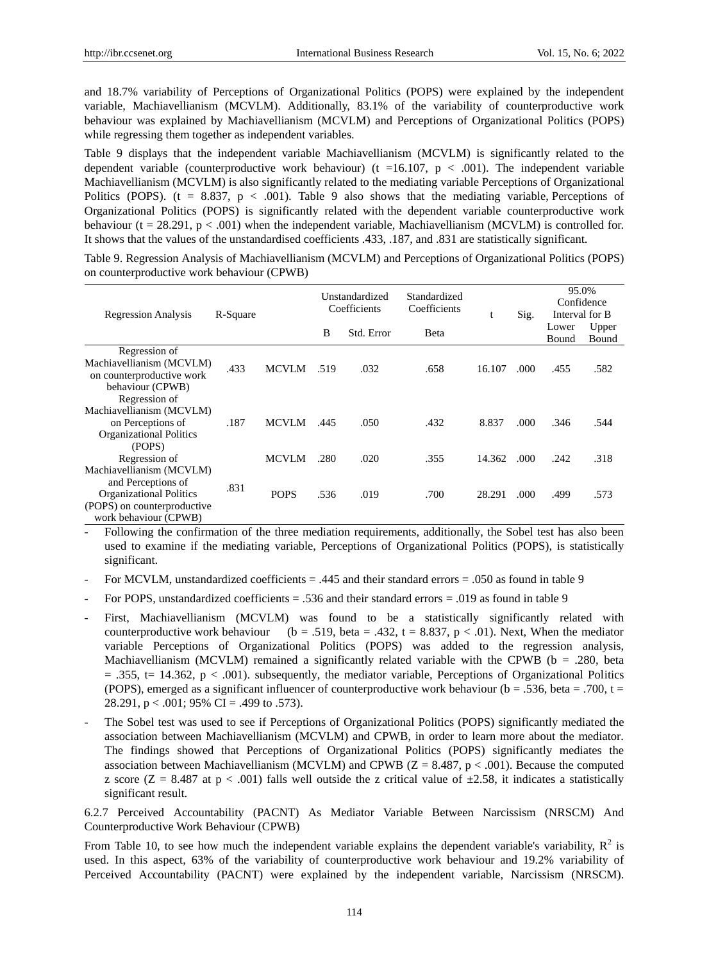and 18.7% variability of Perceptions of Organizational Politics (POPS) were explained by the independent variable, Machiavellianism (MCVLM). Additionally, 83.1% of the variability of counterproductive work behaviour was explained by Machiavellianism (MCVLM) and Perceptions of Organizational Politics (POPS) while regressing them together as independent variables.

Table 9 displays that the independent variable Machiavellianism (MCVLM) is significantly related to the dependent variable (counterproductive work behaviour) (t =16.107,  $p < .001$ ). The independent variable Machiavellianism (MCVLM) is also significantly related to the mediating variable Perceptions of Organizational Politics (POPS). (t = 8.837, p < .001). Table 9 also shows that the mediating variable, Perceptions of Organizational Politics (POPS) is significantly related with the dependent variable counterproductive work behaviour ( $t = 28.291$ ,  $p < .001$ ) when the independent variable, Machiavellianism (MCVLM) is controlled for. It shows that the values of the unstandardised coefficients .433, .187, and .831 are statistically significant.

Table 9. Regression Analysis of Machiavellianism (MCVLM) and Perceptions of Organizational Politics (POPS) on counterproductive work behaviour (CPWB)

| <b>Regression Analysis</b>                                                                                   | R-Square |              |      | Unstandardized<br>Coefficients | Standardized<br>Coefficients | t      | Sig. | 95.0%<br>Confidence<br>Interval for B |                |
|--------------------------------------------------------------------------------------------------------------|----------|--------------|------|--------------------------------|------------------------------|--------|------|---------------------------------------|----------------|
|                                                                                                              |          |              | B    | Std. Error                     | <b>B</b> eta                 |        |      | Lower<br><b>Bound</b>                 | Upper<br>Bound |
| Regression of<br>Machiavellianism (MCVLM)<br>on counterproductive work<br>behaviour (CPWB)                   | .433     | <b>MCVLM</b> | .519 | .032                           | .658                         | 16.107 | .000 | .455                                  | .582           |
| Regression of<br>Machiavellianism (MCVLM)<br>on Perceptions of<br><b>Organizational Politics</b><br>(POPS)   | .187     | <b>MCVLM</b> | .445 | .050                           | .432                         | 8.837  | .000 | .346                                  | .544           |
| Regression of<br>Machiavellianism (MCVLM)                                                                    |          | <b>MCVLM</b> | .280 | .020                           | .355                         | 14.362 | .000 | .242                                  | .318           |
| and Perceptions of<br><b>Organizational Politics</b><br>(POPS) on counterproductive<br>work behaviour (CPWB) | .831     | <b>POPS</b>  | .536 | .019                           | .700                         | 28.291 | .000 | .499                                  | .573           |

- Following the confirmation of the three mediation requirements, additionally, the Sobel test has also been used to examine if the mediating variable, Perceptions of Organizational Politics (POPS), is statistically significant.

- For MCVLM, unstandardized coefficients  $= .445$  and their standard errors  $= .050$  as found in table 9
- For POPS, unstandardized coefficients = .536 and their standard errors = .019 as found in table 9
- First, Machiavellianism (MCVLM) was found to be a statistically significantly related with counterproductive work behaviour (b = .519, beta = .432, t = 8.837, p < .01). Next, When the mediator variable Perceptions of Organizational Politics (POPS) was added to the regression analysis, Machiavellianism (MCVLM) remained a significantly related variable with the CPWB ( $b = .280$ , beta  $= .355$ , t= 14.362, p < .001). subsequently, the mediator variable, Perceptions of Organizational Politics (POPS), emerged as a significant influencer of counterproductive work behaviour ( $b = .536$ , beta = .700, t = 28.291,  $p < .001$ ; 95% CI = .499 to .573).
- The Sobel test was used to see if Perceptions of Organizational Politics (POPS) significantly mediated the association between Machiavellianism (MCVLM) and CPWB, in order to learn more about the mediator. The findings showed that Perceptions of Organizational Politics (POPS) significantly mediates the association between Machiavellianism (MCVLM) and CPWB ( $Z = 8.487$ ,  $p < .001$ ). Because the computed z score ( $Z = 8.487$  at  $p < .001$ ) falls well outside the z critical value of  $\pm 2.58$ , it indicates a statistically significant result.

6.2.7 Perceived Accountability (PACNT) As Mediator Variable Between Narcissism (NRSCM) And Counterproductive Work Behaviour (CPWB)

From Table 10, to see how much the independent variable explains the dependent variable's variability,  $R^2$  is used. In this aspect, 63% of the variability of counterproductive work behaviour and 19.2% variability of Perceived Accountability (PACNT) were explained by the independent variable, Narcissism (NRSCM).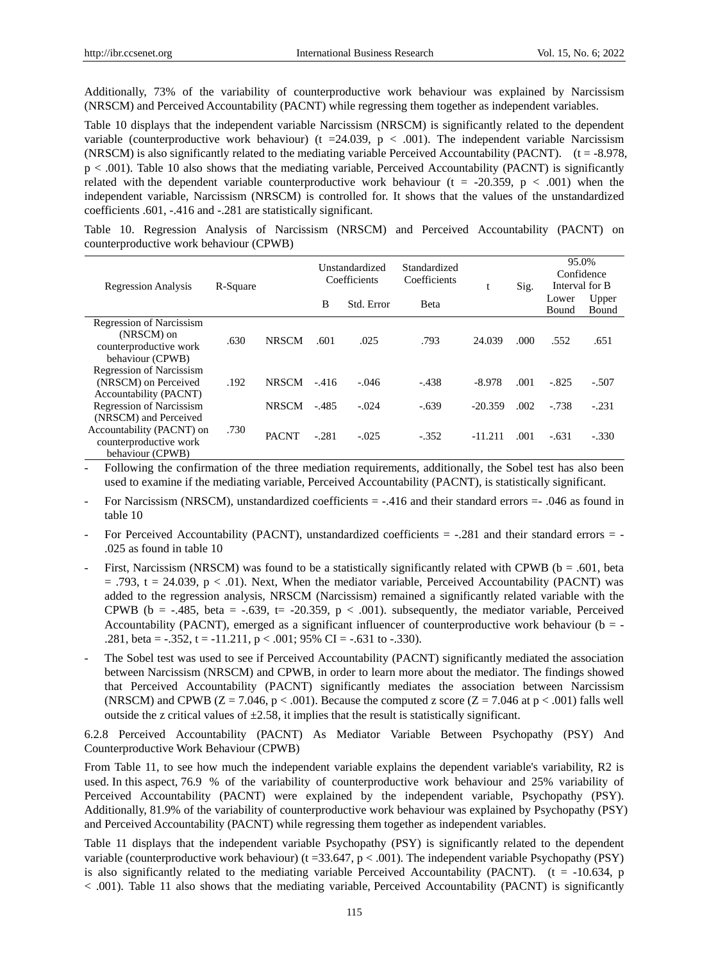Additionally, 73% of the variability of counterproductive work behaviour was explained by Narcissism (NRSCM) and Perceived Accountability (PACNT) while regressing them together as independent variables.

Table 10 displays that the independent variable Narcissism (NRSCM) is significantly related to the dependent variable (counterproductive work behaviour) (t = 24.039,  $p < .001$ ). The independent variable Narcissism (NRSCM) is also significantly related to the mediating variable Perceived Accountability (PACNT).  $(t = -8.978$ , p < .001). Table 10 also shows that the mediating variable, Perceived Accountability (PACNT) is significantly related with the dependent variable counterproductive work behaviour ( $t = -20.359$ ,  $p < .001$ ) when the independent variable, Narcissism (NRSCM) is controlled for. It shows that the values of the unstandardized coefficients .601, -.416 and -.281 are statistically significant.

|  |                                         |  |  |  | Table 10. Regression Analysis of Narcissism (NRSCM) and Perceived Accountability (PACNT) on |  |
|--|-----------------------------------------|--|--|--|---------------------------------------------------------------------------------------------|--|
|  | counterproductive work behaviour (CPWB) |  |  |  |                                                                                             |  |

| <b>Regression Analysis</b>                                                                  | R-Square |              | Unstandardized<br>Coefficients |            | Standardized<br>Coefficients | t         | Sig. | 95.0%<br>Confidence<br>Interval for B |                |
|---------------------------------------------------------------------------------------------|----------|--------------|--------------------------------|------------|------------------------------|-----------|------|---------------------------------------|----------------|
|                                                                                             |          |              | B                              | Std. Error | <b>B</b> eta                 |           |      | Lower<br>Bound                        | Upper<br>Bound |
| <b>Regression of Narcissism</b><br>(NRSCM) on<br>counterproductive work<br>behaviour (CPWB) | .630     | <b>NRSCM</b> | .601                           | .025       | .793                         | 24.039    | .000 | .552                                  | .651           |
| <b>Regression of Narcissism</b><br>(NRSCM) on Perceived<br>Accountability (PACNT)           | .192     | <b>NRSCM</b> | $-416$                         | $-.046$    | $-.438$                      | $-8.978$  | .001 | $-.825$                               | $-.507$        |
| <b>Regression of Narcissism</b><br>(NRSCM) and Perceived                                    |          | <b>NRSCM</b> | $-.485$                        | $-.024$    | $-.639$                      | $-20.359$ | .002 | $-738$                                | $-.231$        |
| Accountability (PACNT) on<br>counterproductive work<br>behaviour (CPWB)                     | .730     | <b>PACNT</b> | $-.281$                        | $-.025$    | $-.352$                      | $-11.211$ | .001 | $-.631$                               | $-.330$        |

- Following the confirmation of the three mediation requirements, additionally, the Sobel test has also been used to examine if the mediating variable, Perceived Accountability (PACNT), is statistically significant.

- For Narcissism (NRSCM), unstandardized coefficients = -.416 and their standard errors =- .046 as found in table 10
- For Perceived Accountability (PACNT), unstandardized coefficients = -.281 and their standard errors = .025 as found in table 10
- First, Narcissism (NRSCM) was found to be a statistically significantly related with CPWB ( $b = .601$ , beta  $= .793$ , t = 24.039, p < .01). Next, When the mediator variable, Perceived Accountability (PACNT) was added to the regression analysis, NRSCM (Narcissism) remained a significantly related variable with the CPWB (b =  $-485$ , beta =  $-639$ , t=  $-20.359$ , p < .001). subsequently, the mediator variable, Perceived Accountability (PACNT), emerged as a significant influencer of counterproductive work behaviour ( $b = -$ .281, beta =  $-0.352$ , t =  $-11.211$ , p <  $0.001$ ; 95% CI =  $-0.631$  to  $-0.330$ ).
- The Sobel test was used to see if Perceived Accountability (PACNT) significantly mediated the association between Narcissism (NRSCM) and CPWB, in order to learn more about the mediator. The findings showed that Perceived Accountability (PACNT) significantly mediates the association between Narcissism (NRSCM) and CPWB ( $Z = 7.046$ ,  $p < .001$ ). Because the computed z score ( $Z = 7.046$  at  $p < .001$ ) falls well outside the z critical values of  $\pm 2.58$ , it implies that the result is statistically significant.

6.2.8 Perceived Accountability (PACNT) As Mediator Variable Between Psychopathy (PSY) And Counterproductive Work Behaviour (CPWB)

From Table 11, to see how much the independent variable explains the dependent variable's variability, R2 is used. In this aspect, 76.9 % of the variability of counterproductive work behaviour and 25% variability of Perceived Accountability (PACNT) were explained by the independent variable, Psychopathy (PSY). Additionally, 81.9% of the variability of counterproductive work behaviour was explained by Psychopathy (PSY) and Perceived Accountability (PACNT) while regressing them together as independent variables.

Table 11 displays that the independent variable Psychopathy (PSY) is significantly related to the dependent variable (counterproductive work behaviour) ( $t = 33.647$ ,  $p < .001$ ). The independent variable Psychopathy (PSY) is also significantly related to the mediating variable Perceived Accountability (PACNT). ( $t = -10.634$ , p < .001). Table 11 also shows that the mediating variable, Perceived Accountability (PACNT) is significantly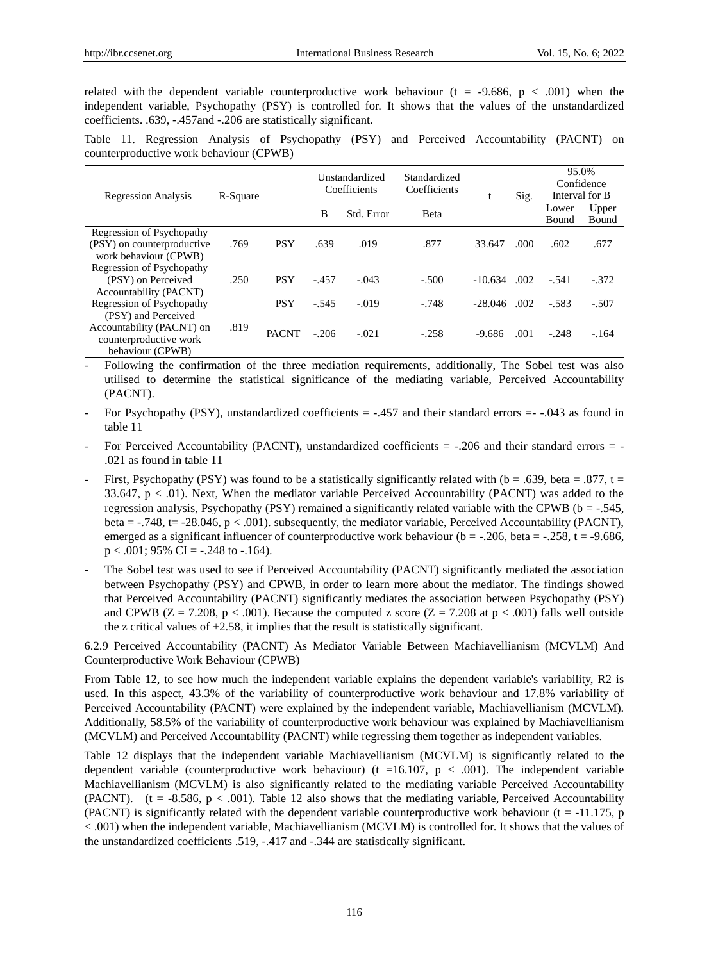related with the dependent variable counterproductive work behaviour ( $t = -9.686$ ,  $p < .001$ ) when the independent variable, Psychopathy (PSY) is controlled for. It shows that the values of the unstandardized coefficients. .639, -.457and -.206 are statistically significant.

Table 11. Regression Analysis of Psychopathy (PSY) and Perceived Accountability (PACNT) on counterproductive work behaviour (CPWB)

| <b>Regression Analysis</b> | R-Square |              | Unstandardized<br>Coefficients |            | Standardized<br>Coefficients |           | Sig. | 95.0%<br>Confidence<br>Interval for B |                |
|----------------------------|----------|--------------|--------------------------------|------------|------------------------------|-----------|------|---------------------------------------|----------------|
|                            |          |              | B                              | Std. Error | <b>B</b> eta                 |           |      | Lower<br>Bound                        | Upper<br>Bound |
| Regression of Psychopathy  |          |              |                                |            |                              |           |      |                                       |                |
| (PSY) on counterproductive | .769     | <b>PSY</b>   | .639                           | .019       | .877                         | 33.647    | .000 | .602                                  | .677           |
| work behaviour (CPWB)      |          |              |                                |            |                              |           |      |                                       |                |
| Regression of Psychopathy  |          |              |                                |            |                              |           |      |                                       |                |
| (PSY) on Perceived         | .250     | <b>PSY</b>   | $-.457$                        | $-.043$    | $-.500$                      | $-10.634$ | .002 | $-.541$                               | $-.372$        |
| Accountability (PACNT)     |          |              |                                |            |                              |           |      |                                       |                |
| Regression of Psychopathy  |          | <b>PSY</b>   | $-.545$                        | $-.019$    | $-.748$                      | $-28.046$ | .002 | $-.583$                               | $-.507$        |
| (PSY) and Perceived        |          |              |                                |            |                              |           |      |                                       |                |
| Accountability (PACNT) on  | .819     | <b>PACNT</b> |                                | $-.021$    |                              |           |      |                                       |                |
| counterproductive work     |          |              | $-.206$                        |            | $-.258$                      | $-9.686$  | .001 | $-.248$                               | $-.164$        |
| behaviour (CPWB)           |          |              |                                |            |                              |           |      |                                       |                |

- Following the confirmation of the three mediation requirements, additionally, The Sobel test was also utilised to determine the statistical significance of the mediating variable, Perceived Accountability (PACNT).

- For Psychopathy (PSY), unstandardized coefficients = -.457 and their standard errors = -.043 as found in table 11
- For Perceived Accountability (PACNT), unstandardized coefficients = -.206 and their standard errors = .021 as found in table 11
- First, Psychopathy (PSY) was found to be a statistically significantly related with ( $b = .639$ , beta = .877, t = 33.647,  $p < .01$ ). Next, When the mediator variable Perceived Accountability (PACNT) was added to the regression analysis, Psychopathy (PSY) remained a significantly related variable with the CPWB ( $b = -.545$ , beta =  $-0.748$ , t=  $-28.046$ , p  $\lt 0.001$ ). subsequently, the mediator variable, Perceived Accountability (PACNT), emerged as a significant influencer of counterproductive work behaviour ( $b = -0.206$ , beta =  $-0.258$ , t =  $-9.686$ ,  $p < .001$ ; 95% CI = -.248 to -.164).
- The Sobel test was used to see if Perceived Accountability (PACNT) significantly mediated the association between Psychopathy (PSY) and CPWB, in order to learn more about the mediator. The findings showed that Perceived Accountability (PACNT) significantly mediates the association between Psychopathy (PSY) and CPWB ( $Z = 7.208$ ,  $p < .001$ ). Because the computed z score ( $Z = 7.208$  at  $p < .001$ ) falls well outside the z critical values of  $\pm 2.58$ , it implies that the result is statistically significant.

6.2.9 Perceived Accountability (PACNT) As Mediator Variable Between Machiavellianism (MCVLM) And Counterproductive Work Behaviour (CPWB)

From Table 12, to see how much the independent variable explains the dependent variable's variability, R2 is used. In this aspect, 43.3% of the variability of counterproductive work behaviour and 17.8% variability of Perceived Accountability (PACNT) were explained by the independent variable, Machiavellianism (MCVLM). Additionally, 58.5% of the variability of counterproductive work behaviour was explained by Machiavellianism (MCVLM) and Perceived Accountability (PACNT) while regressing them together as independent variables.

Table 12 displays that the independent variable Machiavellianism (MCVLM) is significantly related to the dependent variable (counterproductive work behaviour) ( $t = 16.107$ ,  $p < .001$ ). The independent variable Machiavellianism (MCVLM) is also significantly related to the mediating variable Perceived Accountability (PACNT). (t = -8.586,  $p < .001$ ). Table 12 also shows that the mediating variable, Perceived Accountability (PACNT) is significantly related with the dependent variable counterproductive work behaviour ( $t = -11.175$ , p < .001) when the independent variable, Machiavellianism (MCVLM) is controlled for. It shows that the values of the unstandardized coefficients .519, -.417 and -.344 are statistically significant.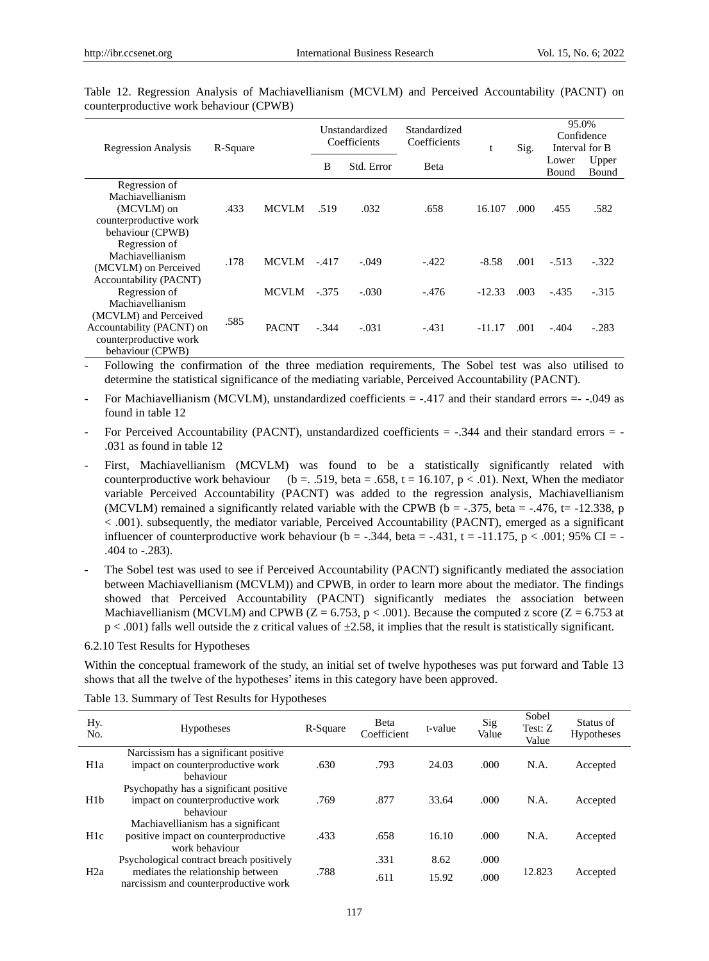| <b>Regression Analysis</b>                                                                       | R-Square |              | Unstandardized<br>Coefficients |            | Standardized<br>Coefficients |          | Sig. | 95.0%<br>Confidence<br>Interval for B |                |
|--------------------------------------------------------------------------------------------------|----------|--------------|--------------------------------|------------|------------------------------|----------|------|---------------------------------------|----------------|
|                                                                                                  |          |              | B                              | Std. Error | <b>B</b> eta                 |          |      | Lower<br>Bound                        | Upper<br>Bound |
| Regression of<br>Machiavellianism<br>(MCVLM) on<br>counterproductive work<br>behaviour (CPWB)    | .433     | <b>MCVLM</b> | .519                           | .032       | .658                         | 16.107   | .000 | .455                                  | .582           |
| Regression of<br>Machiavellianism<br>(MCVLM) on Perceived<br>Accountability (PACNT)              | .178     | <b>MCVLM</b> | $-.417$                        | $-.049$    | $-.422$                      | $-8.58$  | .001 | $-.513$                               | $-.322$        |
| Regression of<br>Machiavellianism                                                                |          | <b>MCVLM</b> | $-.375$                        | $-.030$    | $-.476$                      | $-12.33$ | .003 | $-.435$                               | $-315$         |
| (MCVLM) and Perceived<br>Accountability (PACNT) on<br>counterproductive work<br>behaviour (CPWB) | .585     | <b>PACNT</b> | $-.344$                        | $-.031$    | $-.431$                      | $-11.17$ | .001 | $-.404$                               | $-.283$        |

Table 12. Regression Analysis of Machiavellianism (MCVLM) and Perceived Accountability (PACNT) on counterproductive work behaviour (CPWB)

- Following the confirmation of the three mediation requirements, The Sobel test was also utilised to determine the statistical significance of the mediating variable, Perceived Accountability (PACNT).

For Machiavellianism (MCVLM), unstandardized coefficients = -.417 and their standard errors = -.049 as found in table 12

- For Perceived Accountability (PACNT), unstandardized coefficients = -.344 and their standard errors = .031 as found in table 12
- First, Machiavellianism (MCVLM) was found to be a statistically significantly related with counterproductive work behaviour (b = .519, beta = .658, t = 16.107, p < .01). Next, When the mediator variable Perceived Accountability (PACNT) was added to the regression analysis, Machiavellianism (MCVLM) remained a significantly related variable with the CPWB ( $b = -0.375$ , beta =  $-0.476$ , t=  $-12.338$ , p < .001). subsequently, the mediator variable, Perceived Accountability (PACNT), emerged as a significant influencer of counterproductive work behaviour ( $b = -0.344$ , beta =  $-0.431$ , t =  $-11.175$ , p < .001; 95% CI = -.404 to -.283).
- The Sobel test was used to see if Perceived Accountability (PACNT) significantly mediated the association between Machiavellianism (MCVLM)) and CPWB, in order to learn more about the mediator. The findings showed that Perceived Accountability (PACNT) significantly mediates the association between Machiavellianism (MCVLM) and CPWB ( $Z = 6.753$ ,  $p < .001$ ). Because the computed z score ( $Z = 6.753$  at  $p < .001$ ) falls well outside the z critical values of  $\pm 2.58$ , it implies that the result is statistically significant.

#### 6.2.10 Test Results for Hypotheses

Within the conceptual framework of the study, an initial set of twelve hypotheses was put forward and Table 13 shows that all the twelve of the hypotheses' items in this category have been approved.

| Hy.<br>No.       | <b>Hypotheses</b>                                                                                                      | R-Square | Beta<br>Coefficient | t-value       | Sig<br>Value | Sobel<br>Test: Z<br>Value | Status of<br><b>Hypotheses</b> |
|------------------|------------------------------------------------------------------------------------------------------------------------|----------|---------------------|---------------|--------------|---------------------------|--------------------------------|
| H <sub>1</sub> a | Narcissism has a significant positive<br>impact on counterproductive work                                              | .630     | .793                | 24.03         | .000         | N.A.                      | Accepted                       |
| H1b              | behaviour<br>Psychopathy has a significant positive<br>impact on counterproductive work<br>behaviour                   | .769     | .877                | 33.64         | .000         | N.A.                      | Accepted                       |
| H <sub>1</sub> c | Machiavellianism has a significant<br>positive impact on counterproductive<br>work behaviour                           | .433     | .658                | 16.10         | .000         | N.A.                      | Accepted                       |
| H2a              | Psychological contract breach positively<br>mediates the relationship between<br>narcissism and counterproductive work | .788     | .331<br>.611        | 8.62<br>15.92 | .000<br>.000 | 12.823                    | Accepted                       |

Table 13. Summary of Test Results for Hypotheses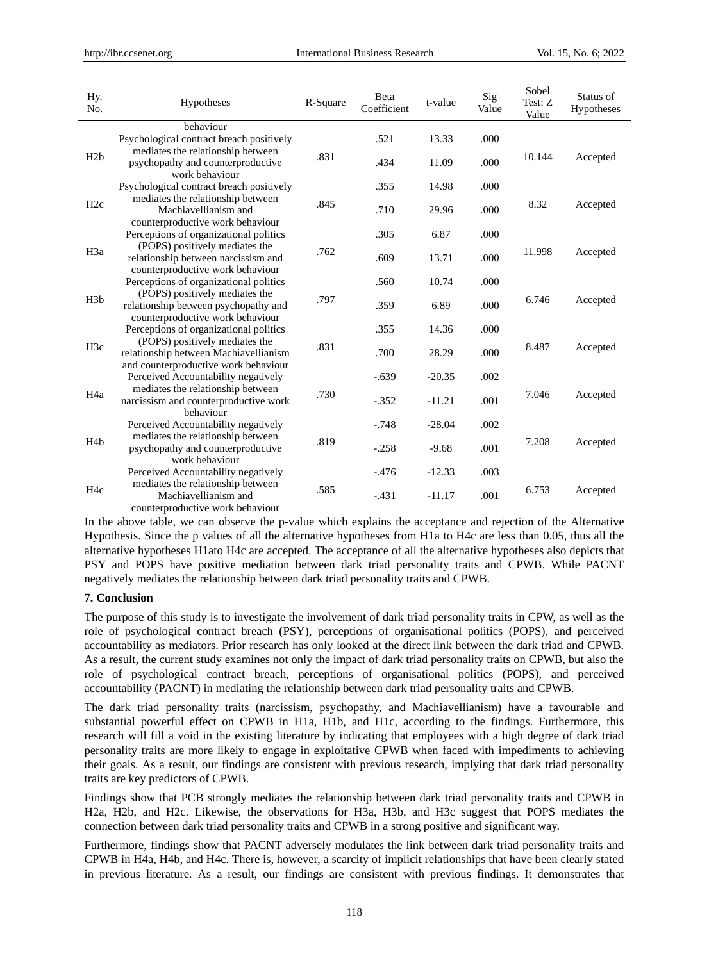| Hy.<br>No.       | Hypotheses                                                                                                      | R-Square | Beta<br>Coefficient | t-value  | Sig<br>Value | Sobel<br>Test: Z<br>Value | Status of<br>Hypotheses |
|------------------|-----------------------------------------------------------------------------------------------------------------|----------|---------------------|----------|--------------|---------------------------|-------------------------|
|                  | behaviour<br>Psychological contract breach positively                                                           |          | .521                | 13.33    | .000         |                           |                         |
| H2b              | mediates the relationship between<br>psychopathy and counterproductive<br>work behaviour                        | .831     | .434                | 11.09    | .000         | 10.144                    | Accepted                |
|                  | Psychological contract breach positively                                                                        |          | .355                | 14.98    | .000         |                           |                         |
| H2c              | mediates the relationship between<br>Machiavellianism and<br>counterproductive work behaviour                   | .845     | .710                | 29.96    | .000         | 8.32                      | Accepted                |
|                  | Perceptions of organizational politics                                                                          |          | .305                | 6.87     | .000         |                           |                         |
| H <sub>3</sub> a | (POPS) positively mediates the<br>relationship between narcissism and<br>counterproductive work behaviour       | .762     | .609                | 13.71    | .000         | 11.998                    | Accepted                |
|                  | Perceptions of organizational politics                                                                          |          | .560                | 10.74    | .000         |                           |                         |
| H3b              | (POPS) positively mediates the<br>relationship between psychopathy and<br>counterproductive work behaviour      | .797     | .359                | 6.89     | .000         | 6.746                     | Accepted                |
|                  | Perceptions of organizational politics                                                                          |          | .355                | 14.36    | .000         |                           |                         |
| H <sub>3c</sub>  | (POPS) positively mediates the<br>relationship between Machiavellianism<br>and counterproductive work behaviour | .831     | .700                | 28.29    | .000         | 8.487                     | Accepted                |
|                  | Perceived Accountability negatively                                                                             |          | $-.639$             | $-20.35$ | .002         |                           |                         |
| H <sub>4</sub> a | mediates the relationship between<br>narcissism and counterproductive work<br>behaviour                         | .730     | $-.352$             | $-11.21$ | .001         | 7.046                     | Accepted                |
|                  | Perceived Accountability negatively                                                                             |          | $-.748$             | $-28.04$ | .002         |                           |                         |
| H <sub>4</sub> b | mediates the relationship between<br>psychopathy and counterproductive<br>work behaviour                        | .819     | $-.258$             | $-9.68$  | .001         | 7.208                     | Accepted                |
|                  | Perceived Accountability negatively                                                                             |          | $-.476$             | $-12.33$ | .003         |                           |                         |
| H <sub>4c</sub>  | mediates the relationship between<br>Machiavellianism and<br>counterproductive work behaviour                   | .585     | $-.431$             | $-11.17$ | .001         | 6.753                     | Accepted                |

In the above table, we can observe the p-value which explains the acceptance and rejection of the Alternative Hypothesis. Since the p values of all the alternative hypotheses from H1a to H4c are less than 0.05, thus all the alternative hypotheses H1ato H4c are accepted. The acceptance of all the alternative hypotheses also depicts that PSY and POPS have positive mediation between dark triad personality traits and CPWB. While PACNT negatively mediates the relationship between dark triad personality traits and CPWB.

## **7. Conclusion**

The purpose of this study is to investigate the involvement of dark triad personality traits in CPW, as well as the role of psychological contract breach (PSY), perceptions of organisational politics (POPS), and perceived accountability as mediators. Prior research has only looked at the direct link between the dark triad and CPWB. As a result, the current study examines not only the impact of dark triad personality traits on CPWB, but also the role of psychological contract breach, perceptions of organisational politics (POPS), and perceived accountability (PACNT) in mediating the relationship between dark triad personality traits and CPWB.

The dark triad personality traits (narcissism, psychopathy, and Machiavellianism) have a favourable and substantial powerful effect on CPWB in H1a, H1b, and H1c, according to the findings. Furthermore, this research will fill a void in the existing literature by indicating that employees with a high degree of dark triad personality traits are more likely to engage in exploitative CPWB when faced with impediments to achieving their goals. As a result, our findings are consistent with previous research, implying that dark triad personality traits are key predictors of CPWB.

Findings show that PCB strongly mediates the relationship between dark triad personality traits and CPWB in H2a, H2b, and H2c. Likewise, the observations for H3a, H3b, and H3c suggest that POPS mediates the connection between dark triad personality traits and CPWB in a strong positive and significant way.

Furthermore, findings show that PACNT adversely modulates the link between dark triad personality traits and CPWB in H4a, H4b, and H4c. There is, however, a scarcity of implicit relationships that have been clearly stated in previous literature. As a result, our findings are consistent with previous findings. It demonstrates that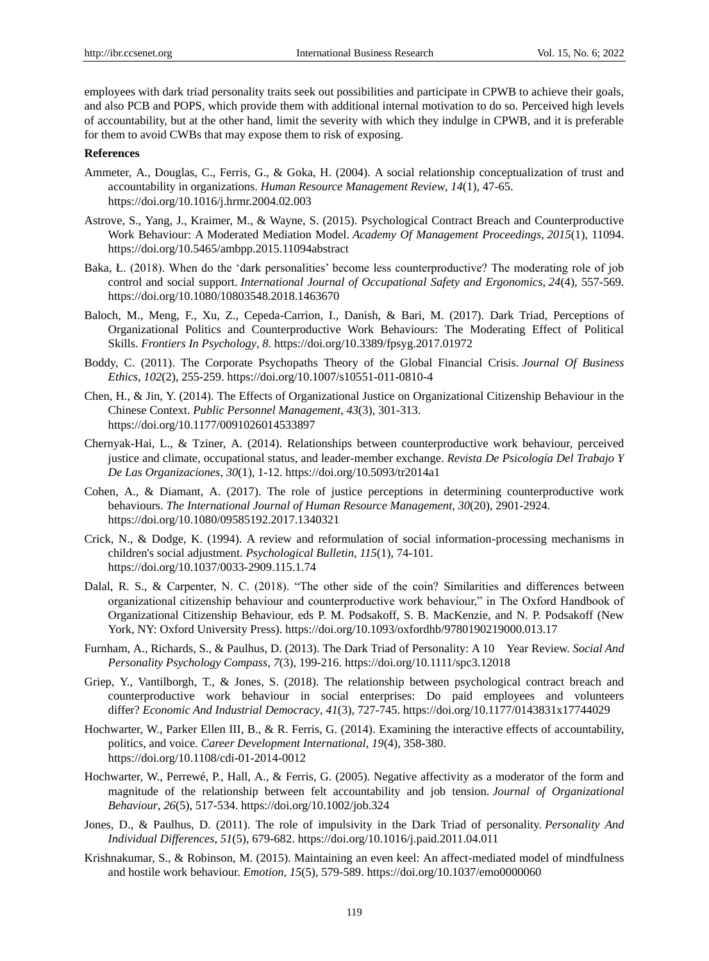employees with dark triad personality traits seek out possibilities and participate in CPWB to achieve their goals, and also PCB and POPS, which provide them with additional internal motivation to do so. Perceived high levels of accountability, but at the other hand, limit the severity with which they indulge in CPWB, and it is preferable for them to avoid CWBs that may expose them to risk of exposing.

### **References**

- Ammeter, A., Douglas, C., Ferris, G., & Goka, H. (2004). A social relationship conceptualization of trust and accountability in organizations. *Human Resource Management Review*, *14*(1), 47-65. <https://doi.org/10.1016/j.hrmr.2004.02.003>
- Astrove, S., Yang, J., Kraimer, M., & Wayne, S. (2015). Psychological Contract Breach and Counterproductive Work Behaviour: A Moderated Mediation Model. *Academy Of Management Proceedings*, *2015*(1), 11094. <https://doi.org/10.5465/ambpp.2015.11094abstract>
- Baka, Ł. (2018). When do the "dark personalities" become less counterproductive? The moderating role of job control and social support. *International Journal of Occupational Safety and Ergonomics*, *24*(4), 557-569. <https://doi.org/10.1080/10803548.2018.1463670>
- Baloch, M., Meng, F., Xu, Z., Cepeda-Carrion, I., Danish, & Bari, M. (2017). Dark Triad, Perceptions of Organizational Politics and Counterproductive Work Behaviours: The Moderating Effect of Political Skills. *Frontiers In Psychology*, *8*[. https://doi.org/10.3389/fpsyg.2017.01972](https://doi.org/10.3389/fpsyg.2017.01972)
- Boddy, C. (2011). The Corporate Psychopaths Theory of the Global Financial Crisis. *Journal Of Business Ethics*, *102*(2), 255-259.<https://doi.org/10.1007/s10551-011-0810-4>
- Chen, H., & Jin, Y. (2014). The Effects of Organizational Justice on Organizational Citizenship Behaviour in the Chinese Context. *Public Personnel Management*, *43*(3), 301-313. <https://doi.org/10.1177/0091026014533897>
- Chernyak-Hai, L., & Tziner, A. (2014). Relationships between counterproductive work behaviour, perceived justice and climate, occupational status, and leader-member exchange. *Revista De Psicología Del Trabajo Y De Las Organizaciones*, *30*(1), 1-12.<https://doi.org/10.5093/tr2014a1>
- Cohen, A., & Diamant, A. (2017). The role of justice perceptions in determining counterproductive work behaviours. *The International Journal of Human Resource Management*, *30*(20), 2901-2924. <https://doi.org/10.1080/09585192.2017.1340321>
- Crick, N., & Dodge, K. (1994). A review and reformulation of social information-processing mechanisms in children's social adjustment. *Psychological Bulletin*, *115*(1), 74-101. <https://doi.org/10.1037/0033-2909.115.1.74>
- Dalal, R. S., & Carpenter, N. C. (2018). "The other side of the coin? Similarities and differences between organizational citizenship behaviour and counterproductive work behaviour," in The Oxford Handbook of Organizational Citizenship Behaviour, eds P. M. Podsakoff, S. B. MacKenzie, and N. P. Podsakoff (New York, NY: Oxford University Press). <https://doi.org/10.1093/oxfordhb/9780190219000.013.17>
- Furnham, A., Richards, S., & Paulhus, D. (2013). The Dark Triad of Personality: A 10 Year Review. *Social And Personality Psychology Compass*, *7*(3), 199-216.<https://doi.org/10.1111/spc3.12018>
- Griep, Y., Vantilborgh, T., & Jones, S. (2018). The relationship between psychological contract breach and counterproductive work behaviour in social enterprises: Do paid employees and volunteers differ? *Economic And Industrial Democracy*, *41*(3), 727-745.<https://doi.org/10.1177/0143831x17744029>
- Hochwarter, W., Parker Ellen III, B., & R. Ferris, G. (2014). Examining the interactive effects of accountability, politics, and voice. *Career Development International*, *19*(4), 358-380. <https://doi.org/10.1108/cdi-01-2014-0012>
- Hochwarter, W., Perrew é, P., Hall, A., & Ferris, G. (2005). Negative affectivity as a moderator of the form and magnitude of the relationship between felt accountability and job tension. *Journal of Organizational Behaviour*, *26*(5), 517-534[. https://doi.org/10.1002/job.324](https://doi.org/10.1002/job.324)
- Jones, D., & Paulhus, D. (2011). The role of impulsivity in the Dark Triad of personality. *Personality And Individual Differences*, *51*(5), 679-682.<https://doi.org/10.1016/j.paid.2011.04.011>
- Krishnakumar, S., & Robinson, M. (2015). Maintaining an even keel: An affect-mediated model of mindfulness and hostile work behaviour. *Emotion*, *15*(5), 579-589.<https://doi.org/10.1037/emo0000060>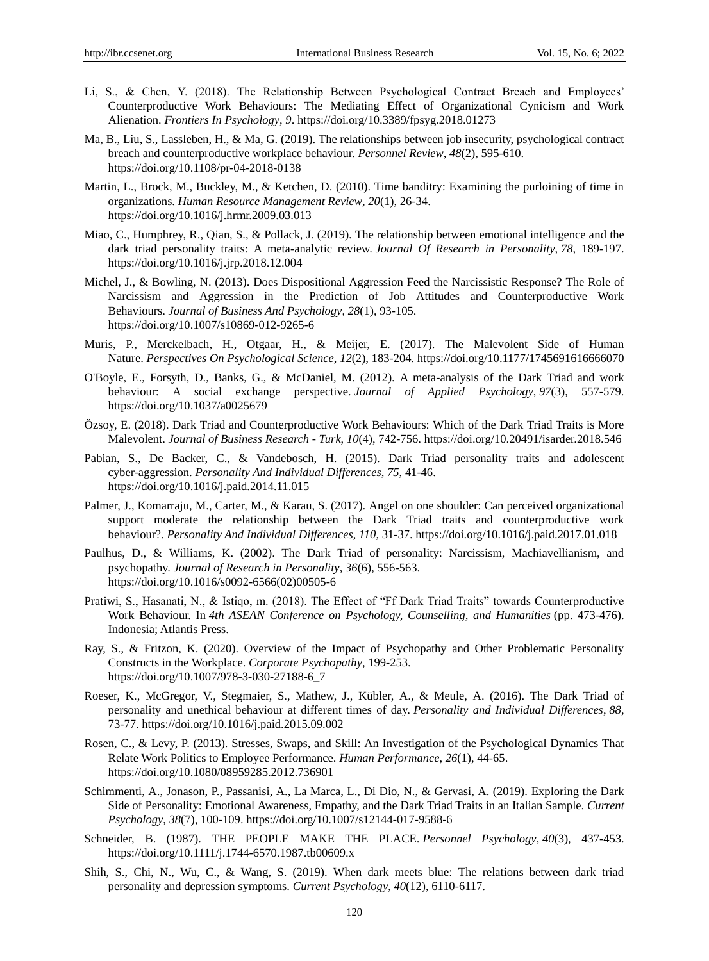- Li, S., & Chen, Y. (2018). The Relationship Between Psychological Contract Breach and Employees' Counterproductive Work Behaviours: The Mediating Effect of Organizational Cynicism and Work Alienation. *Frontiers In Psychology*, *9*.<https://doi.org/10.3389/fpsyg.2018.01273>
- Ma, B., Liu, S., Lassleben, H., & Ma, G. (2019). The relationships between job insecurity, psychological contract breach and counterproductive workplace behaviour. *Personnel Review*, *48*(2), 595-610. <https://doi.org/10.1108/pr-04-2018-0138>
- Martin, L., Brock, M., Buckley, M., & Ketchen, D. (2010). Time banditry: Examining the purloining of time in organizations. *Human Resource Management Review*, *20*(1), 26-34. <https://doi.org/10.1016/j.hrmr.2009.03.013>
- Miao, C., Humphrey, R., Qian, S., & Pollack, J. (2019). The relationship between emotional intelligence and the dark triad personality traits: A meta-analytic review. *Journal Of Research in Personality*, *78*, 189-197. <https://doi.org/10.1016/j.jrp.2018.12.004>
- Michel, J., & Bowling, N. (2013). Does Dispositional Aggression Feed the Narcissistic Response? The Role of Narcissism and Aggression in the Prediction of Job Attitudes and Counterproductive Work Behaviours. *Journal of Business And Psychology*, *28*(1), 93-105. <https://doi.org/10.1007/s10869-012-9265-6>
- Muris, P., Merckelbach, H., Otgaar, H., & Meijer, E. (2017). The Malevolent Side of Human Nature. *Perspectives On Psychological Science*, *12*(2), 183-204[. https://doi.org/10.1177/1745691616666070](https://doi.org/10.1177/1745691616666070)
- O'Boyle, E., Forsyth, D., Banks, G., & McDaniel, M. (2012). A meta-analysis of the Dark Triad and work behaviour: A social exchange perspective. *Journal of Applied Psychology*, *97*(3), 557-579. <https://doi.org/10.1037/a0025679>
- Özsoy, E. (2018). Dark Triad and Counterproductive Work Behaviours: Which of the Dark Triad Traits is More Malevolent. *Journal of Business Research - Turk*, *10*(4), 742-756.<https://doi.org/10.20491/isarder.2018.546>
- Pabian, S., De Backer, C., & Vandebosch, H. (2015). Dark Triad personality traits and adolescent cyber-aggression. *Personality And Individual Differences*, *75*, 41-46. <https://doi.org/10.1016/j.paid.2014.11.015>
- Palmer, J., Komarraju, M., Carter, M., & Karau, S. (2017). Angel on one shoulder: Can perceived organizational support moderate the relationship between the Dark Triad traits and counterproductive work behaviour?. *Personality And Individual Differences*, *110*, 31-37.<https://doi.org/10.1016/j.paid.2017.01.018>
- Paulhus, D., & Williams, K. (2002). The Dark Triad of personality: Narcissism, Machiavellianism, and psychopathy. *Journal of Research in Personality*, *36*(6), 556-563. [https://doi.org/10.1016/s0092-6566\(02\)00505-6](https://doi.org/10.1016/s0092-6566(02)00505-6)
- Pratiwi, S., Hasanati, N., & Istiqo, m. (2018). The Effect of "Ff Dark Triad Traits" towards Counterproductive Work Behaviour. In *4th ASEAN Conference on Psychology, Counselling, and Humanities* (pp. 473-476). Indonesia; Atlantis Press.
- Ray, S., & Fritzon, K. (2020). Overview of the Impact of Psychopathy and Other Problematic Personality Constructs in the Workplace. *Corporate Psychopathy*, 199-253. [https://doi.org/10.1007/978-3-030-27188-6\\_7](https://doi.org/10.1007/978-3-030-27188-6_7)
- Roeser, K., McGregor, V., Stegmaier, S., Mathew, J., Kübler, A., & Meule, A. (2016). The Dark Triad of personality and unethical behaviour at different times of day. *Personality and Individual Differences*, *88*, 73-77.<https://doi.org/10.1016/j.paid.2015.09.002>
- Rosen, C., & Levy, P. (2013). Stresses, Swaps, and Skill: An Investigation of the Psychological Dynamics That Relate Work Politics to Employee Performance. *Human Performance*, *26*(1), 44-65. <https://doi.org/10.1080/08959285.2012.736901>
- Schimmenti, A., Jonason, P., Passanisi, A., La Marca, L., Di Dio, N., & Gervasi, A. (2019). Exploring the Dark Side of Personality: Emotional Awareness, Empathy, and the Dark Triad Traits in an Italian Sample. *Current Psychology*, *38*(7), 100-109.<https://doi.org/10.1007/s12144-017-9588-6>
- Schneider, B. (1987). THE PEOPLE MAKE THE PLACE. *Personnel Psychology*, *40*(3), 437-453. <https://doi.org/10.1111/j.1744-6570.1987.tb00609.x>
- Shih, S., Chi, N., Wu, C., & Wang, S. (2019). When dark meets blue: The relations between dark triad personality and depression symptoms. *Current Psychology*, *40*(12), 6110-6117.